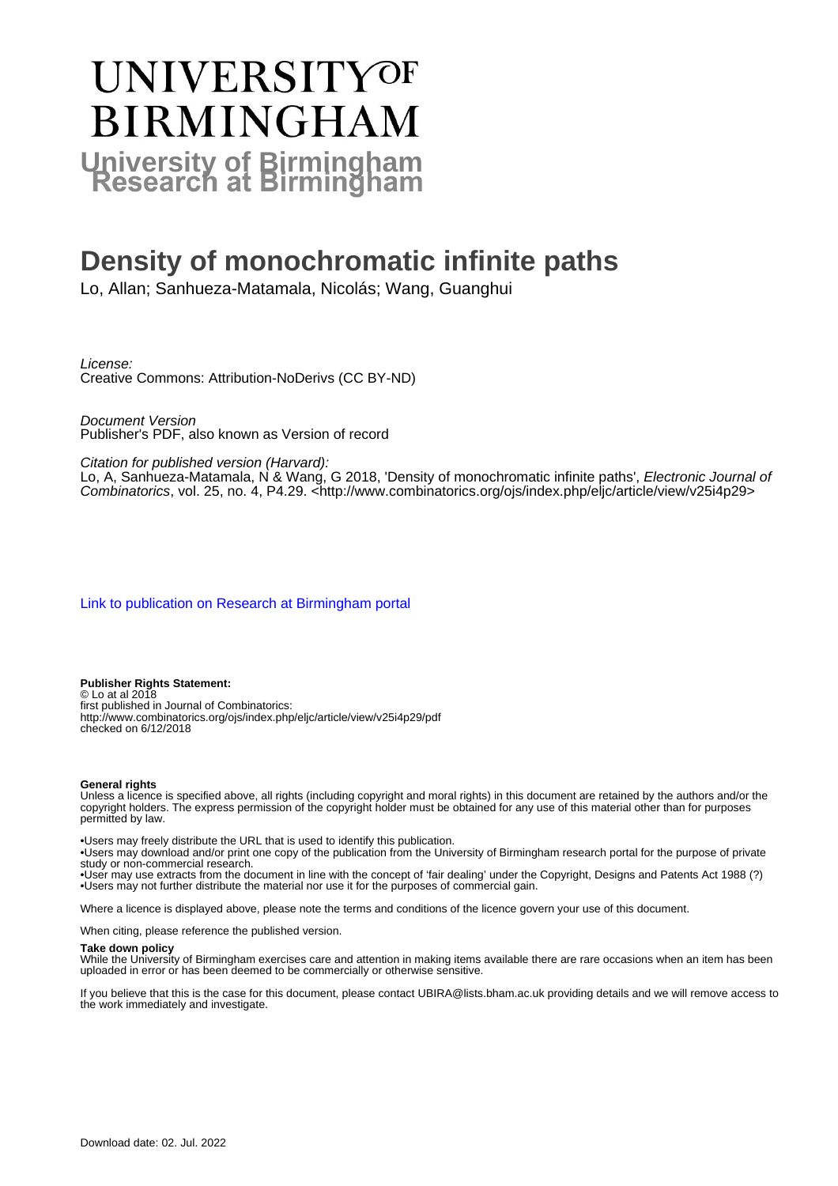# UNIVERSITYOF **BIRMINGHAM University of Birmingham**

## **Density of monochromatic infinite paths**

Lo, Allan; Sanhueza-Matamala, Nicolás; Wang, Guanghui

License:

Creative Commons: Attribution-NoDerivs (CC BY-ND)

Document Version Publisher's PDF, also known as Version of record

Citation for published version (Harvard):

Lo, A, Sanhueza-Matamala, N & Wang, G 2018, 'Density of monochromatic infinite paths', Electronic Journal of Combinatorics, vol. 25, no. 4, P4.29. <<http://www.combinatorics.org/ojs/index.php/eljc/article/view/v25i4p29>>

[Link to publication on Research at Birmingham portal](https://birmingham.elsevierpure.com/en/publications/b31d5290-3334-49f9-ac1b-2e2f7887bf7b)

#### **Publisher Rights Statement:**

© Lo at al 2018 first published in Journal of Combinatorics: http://www.combinatorics.org/ojs/index.php/eljc/article/view/v25i4p29/pdf checked on 6/12/2018

#### **General rights**

Unless a licence is specified above, all rights (including copyright and moral rights) in this document are retained by the authors and/or the copyright holders. The express permission of the copyright holder must be obtained for any use of this material other than for purposes permitted by law.

• Users may freely distribute the URL that is used to identify this publication.

• Users may download and/or print one copy of the publication from the University of Birmingham research portal for the purpose of private study or non-commercial research.

• User may use extracts from the document in line with the concept of 'fair dealing' under the Copyright, Designs and Patents Act 1988 (?) • Users may not further distribute the material nor use it for the purposes of commercial gain.

Where a licence is displayed above, please note the terms and conditions of the licence govern your use of this document.

When citing, please reference the published version.

#### **Take down policy**

While the University of Birmingham exercises care and attention in making items available there are rare occasions when an item has been uploaded in error or has been deemed to be commercially or otherwise sensitive.

If you believe that this is the case for this document, please contact UBIRA@lists.bham.ac.uk providing details and we will remove access to the work immediately and investigate.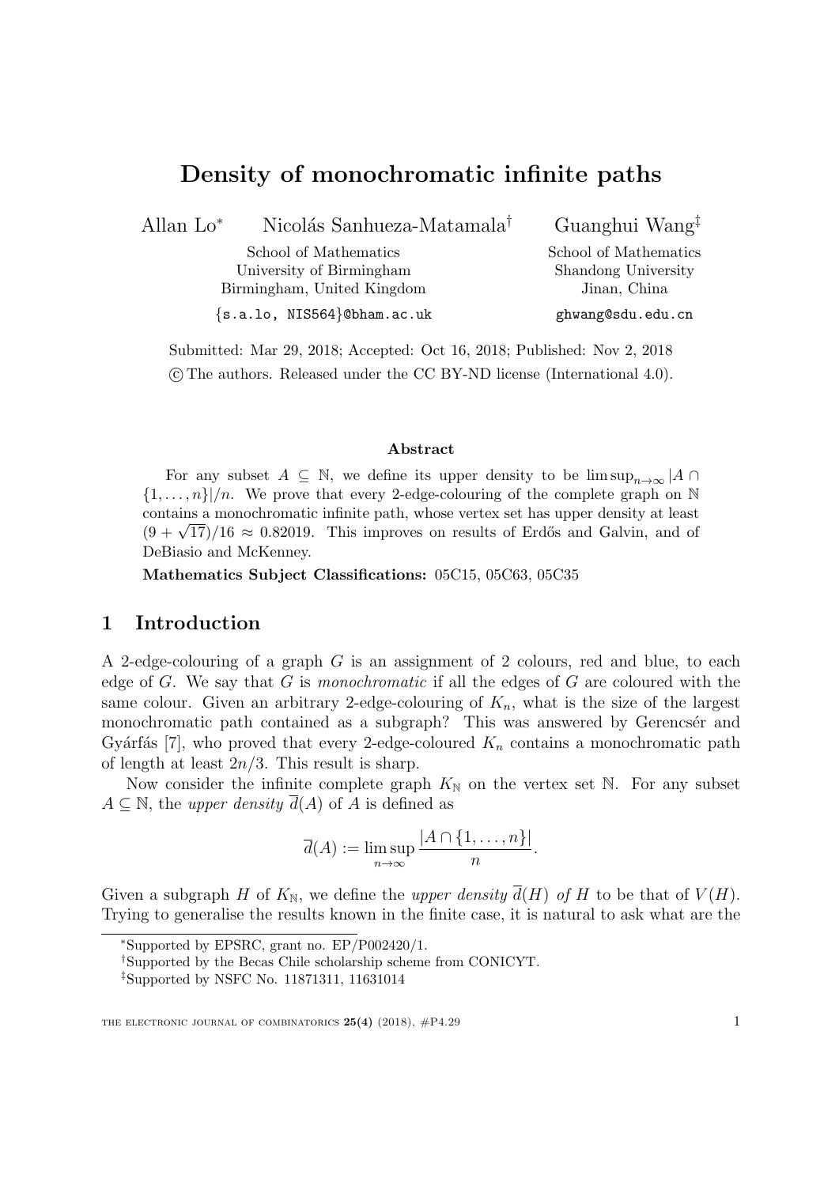### Density of monochromatic infinite paths

Allan Lo<sup>∗</sup> Nicolás Sanhueza-Matamala<sup>†</sup>

School of Mathematics University of Birmingham Birmingham, United Kingdom Guanghui Wang‡

School of Mathematics Shandong University Jinan, China ghwang@sdu.edu.cn

{s.a.lo, NIS564}@bham.ac.uk

Submitted: Mar 29, 2018; Accepted: Oct 16, 2018; Published: Nov 2, 2018 c The authors. Released under the CC BY-ND license (International 4.0).

#### Abstract

For any subset  $A \subseteq \mathbb{N}$ , we define its upper density to be  $\limsup_{n\to\infty} |A \cap$  $\{1,\ldots,n\}/n$ . We prove that every 2-edge-colouring of the complete graph on N contains a monochromatic infinite path, whose vertex set has upper density at least contains a monochromatic infinite path, whose vertex set has upper density at least  $(9 + \sqrt{17})/16 \approx 0.82019$ . This improves on results of Erdős and Galvin, and of DeBiasio and McKenney.

Mathematics Subject Classifications: 05C15, 05C63, 05C35

#### 1 Introduction

A 2-edge-colouring of a graph G is an assignment of 2 colours, red and blue, to each edge of G. We say that G is *monochromatic* if all the edges of G are coloured with the same colour. Given an arbitrary 2-edge-colouring of  $K_n$ , what is the size of the largest monochromatic path contained as a subgraph? This was answered by Gerencsér and Gyárfás [\[7\]](#page-17-0), who proved that every 2-edge-coloured  $K_n$  contains a monochromatic path of length at least  $2n/3$ . This result is sharp.

Now consider the infinite complete graph  $K_N$  on the vertex set N. For any subset  $A \subseteq \mathbb{N}$ , the *upper density*  $\overline{d}(A)$  of A is defined as

$$
\overline{d}(A) := \limsup_{n \to \infty} \frac{|A \cap \{1, \dots, n\}|}{n}.
$$

Given a subgraph H of  $K_{\mathbb{N}}$ , we define the *upper density*  $\overline{d}(H)$  of H to be that of  $V(H)$ . Trying to generalise the results known in the finite case, it is natural to ask what are the

<sup>∗</sup>Supported by EPSRC, grant no. EP/P002420/1.

<sup>†</sup>Supported by the Becas Chile scholarship scheme from CONICYT.

<sup>‡</sup>Supported by NSFC No. 11871311, 11631014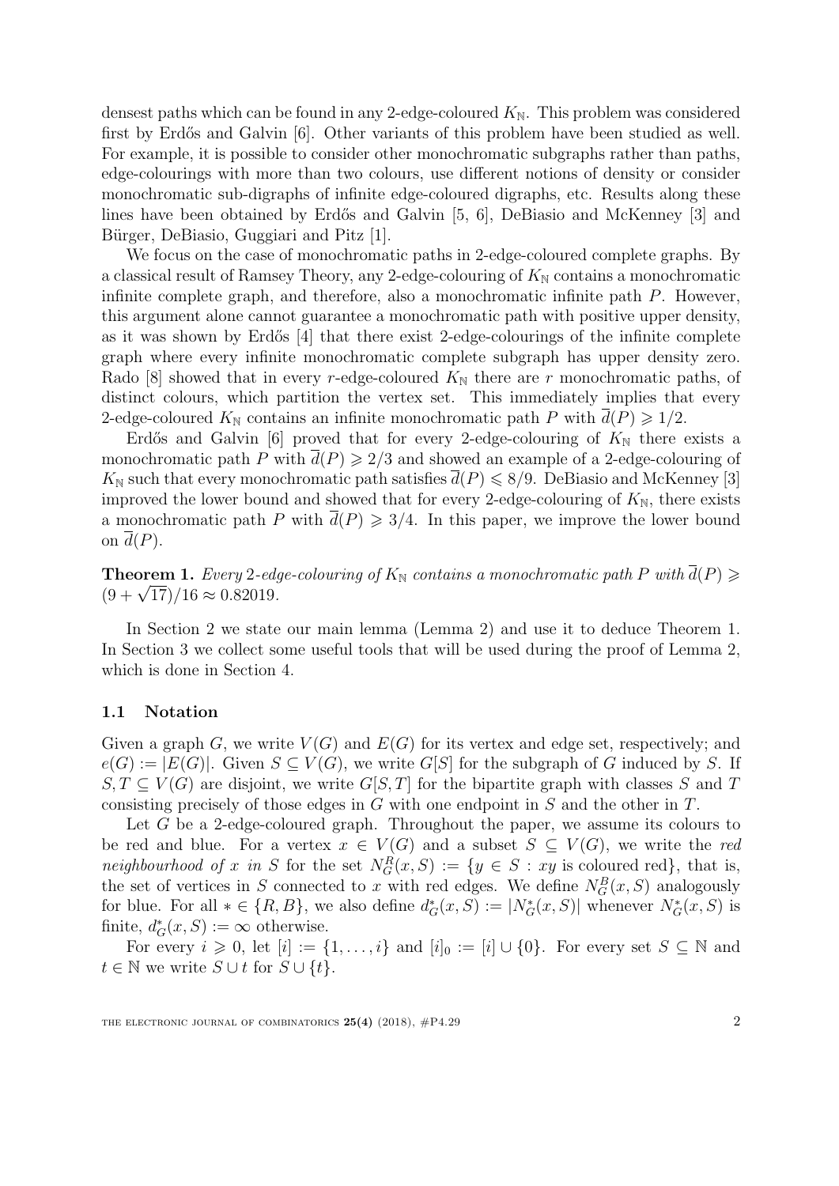densest paths which can be found in any 2-edge-coloured  $K_N$ . This problem was considered first by Erdős and Galvin [\[6\]](#page-17-1). Other variants of this problem have been studied as well. For example, it is possible to consider other monochromatic subgraphs rather than paths, edge-colourings with more than two colours, use different notions of density or consider monochromatic sub-digraphs of infinite edge-coloured digraphs, etc. Results along these lines have been obtained by Erdős and Galvin [\[5,](#page-17-2) [6\]](#page-17-1), DeBiasio and McKenney [\[3\]](#page-17-3) and Bürger, DeBiasio, Guggiari and Pitz [\[1\]](#page-17-4).

We focus on the case of monochromatic paths in 2-edge-coloured complete graphs. By a classical result of Ramsey Theory, any 2-edge-colouring of  $K_N$  contains a monochromatic infinite complete graph, and therefore, also a monochromatic infinite path P. However, this argument alone cannot guarantee a monochromatic path with positive upper density, as it was shown by Erdős [\[4\]](#page-17-5) that there exist 2-edge-colourings of the infinite complete graph where every infinite monochromatic complete subgraph has upper density zero. Rado [\[8\]](#page-18-0) showed that in every r-edge-coloured  $K_N$  there are r monochromatic paths, of distinct colours, which partition the vertex set. This immediately implies that every 2-edge-coloured  $K_{\mathbb{N}}$  contains an infinite monochromatic path P with  $d(P) \geq 1/2$ .

Erdős and Galvin [\[6\]](#page-17-1) proved that for every 2-edge-colouring of  $K_N$  there exists a monochromatic path P with  $\overline{d}(P) \geq 2/3$  and showed an example of a 2-edge-colouring of  $K_{\mathbb{N}}$  such that every monochromatic path satisfies  $\overline{d}(P) \leq 8/9$ . DeBiasio and McKenney [\[3\]](#page-17-3) improved the lower bound and showed that for every 2-edge-colouring of  $K_N$ , there exists a monochromatic path P with  $\bar{d}(P) \geq 3/4$ . In this paper, we improve the lower bound on  $\overline{d}(P)$ .

<span id="page-2-0"></span>**Theorem 1.** Every 2-edge-colouring of  $K_N$  contains a monochromatic path P with  $\overline{d}(P) \geq$ **Theorem 1.** Every 2-eag.<br>(9 +  $\sqrt{17}$ )/16 ≈ 0.82019.

In Section [2](#page-3-0) we state our main lemma (Lemma [2\)](#page-3-1) and use it to deduce Theorem [1.](#page-2-0) In Section [3](#page-4-0) we collect some useful tools that will be used during the proof of Lemma [2,](#page-3-1) which is done in Section [4.](#page-6-0)

#### 1.1 Notation

Given a graph G, we write  $V(G)$  and  $E(G)$  for its vertex and edge set, respectively; and  $e(G) := |E(G)|$ . Given  $S \subseteq V(G)$ , we write  $G[S]$  for the subgraph of G induced by S. If  $S, T \subseteq V(G)$  are disjoint, we write  $G[S, T]$  for the bipartite graph with classes S and T consisting precisely of those edges in  $G$  with one endpoint in  $S$  and the other in  $T$ .

Let G be a 2-edge-coloured graph. Throughout the paper, we assume its colours to be red and blue. For a vertex  $x \in V(G)$  and a subset  $S \subseteq V(G)$ , we write the red neighbourhood of x in S for the set  $N_G^R(x, S) := \{y \in S : xy$  is coloured red}, that is, the set of vertices in S connected to x with red edges. We define  $N_G^B(x, S)$  analogously for blue. For all  $* \in \{R, B\}$ , we also define  $d^*_{G}(x, S) := |N^*_{G}(x, S)|$  whenever  $N^*_{G}(x, S)$  is finite,  $d_G^*(x, S) := \infty$  otherwise.

For every  $i \geq 0$ , let  $[i] := \{1, \ldots, i\}$  and  $[i]_0 := [i] \cup \{0\}$ . For every set  $S \subseteq \mathbb{N}$  and  $t \in \mathbb{N}$  we write  $S \cup t$  for  $S \cup \{t\}.$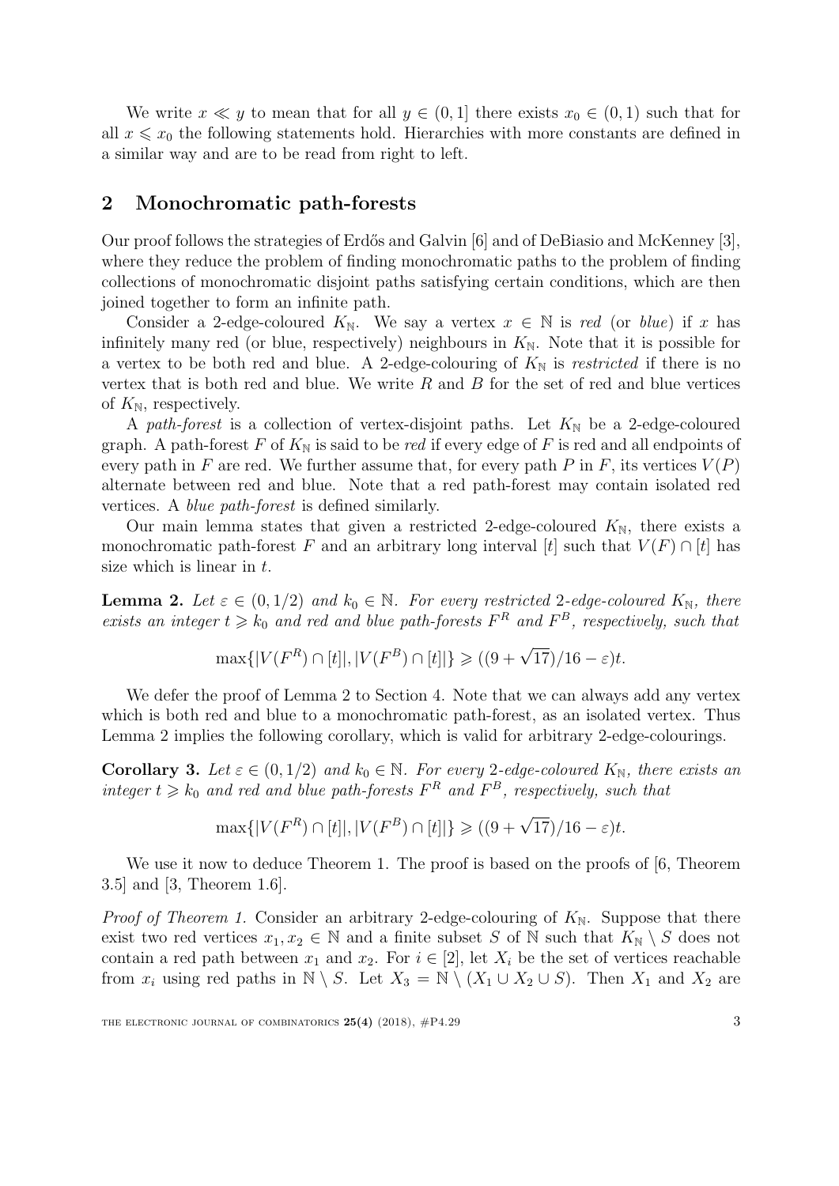We write  $x \ll y$  to mean that for all  $y \in (0,1]$  there exists  $x_0 \in (0,1)$  such that for all  $x \leq x_0$  the following statements hold. Hierarchies with more constants are defined in a similar way and are to be read from right to left.

#### <span id="page-3-0"></span>2 Monochromatic path-forests

Our proof follows the strategies of Erdős and Galvin [\[6\]](#page-17-1) and of DeBiasio and McKenney [\[3\]](#page-17-3), where they reduce the problem of finding monochromatic paths to the problem of finding collections of monochromatic disjoint paths satisfying certain conditions, which are then joined together to form an infinite path.

Consider a 2-edge-coloured  $K_{\mathbb{N}}$ . We say a vertex  $x \in \mathbb{N}$  is red (or blue) if x has infinitely many red (or blue, respectively) neighbours in  $K_N$ . Note that it is possible for a vertex to be both red and blue. A 2-edge-colouring of  $K_N$  is restricted if there is no vertex that is both red and blue. We write  $R$  and  $B$  for the set of red and blue vertices of  $K_{\mathbb{N}}$ , respectively.

A path-forest is a collection of vertex-disjoint paths. Let  $K_N$  be a 2-edge-coloured graph. A path-forest F of  $K_N$  is said to be red if every edge of F is red and all endpoints of every path in F are red. We further assume that, for every path P in F, its vertices  $V(P)$ alternate between red and blue. Note that a red path-forest may contain isolated red vertices. A blue path-forest is defined similarly.

Our main lemma states that given a restricted 2-edge-coloured  $K_N$ , there exists a monochromatic path-forest F and an arbitrary long interval [t] such that  $V(F) \cap [t]$  has size which is linear in  $t$ .

<span id="page-3-1"></span>**Lemma 2.** Let  $\varepsilon \in (0, 1/2)$  and  $k_0 \in \mathbb{N}$ . For every restricted 2-edge-coloured  $K_{\mathbb{N}}$ , there exists an integer  $t \geq k_0$  and red and blue path-forests  $F^R$  and  $F^B$ , respectively, such that

$$
\max\{|V(F^R) \cap [t]|, |V(F^B) \cap [t]| \ge ((9 + \sqrt{17})/16 - \varepsilon)t.
$$

We defer the proof of Lemma [2](#page-3-1) to Section [4.](#page-6-0) Note that we can always add any vertex which is both red and blue to a monochromatic path-forest, as an isolated vertex. Thus Lemma [2](#page-3-1) implies the following corollary, which is valid for arbitrary 2-edge-colourings.

<span id="page-3-2"></span>**Corollary 3.** Let  $\varepsilon \in (0, 1/2)$  and  $k_0 \in \mathbb{N}$ . For every 2-edge-coloured  $K_{\mathbb{N}}$ , there exists an integer  $t \geq k_0$  and red and blue path-forests  $F^R$  and  $F^B$ , respectively, such that

$$
\max\{|V(F^R) \cap [t]|, |V(F^B) \cap [t]|\} \geq ((9 + \sqrt{17})/16 - \varepsilon)t.
$$

We use it now to deduce Theorem [1.](#page-2-0) The proof is based on the proofs of  $[6,$  Theorem 3.5] and [\[3,](#page-17-3) Theorem 1.6].

*Proof of Theorem [1.](#page-2-0)* Consider an arbitrary 2-edge-colouring of  $K_N$ . Suppose that there exist two red vertices  $x_1, x_2 \in \mathbb{N}$  and a finite subset S of N such that  $K_{\mathbb{N}} \setminus S$  does not contain a red path between  $x_1$  and  $x_2$ . For  $i \in [2]$ , let  $X_i$  be the set of vertices reachable from  $x_i$  using red paths in  $\mathbb{N} \setminus S$ . Let  $X_3 = \mathbb{N} \setminus (X_1 \cup X_2 \cup S)$ . Then  $X_1$  and  $X_2$  are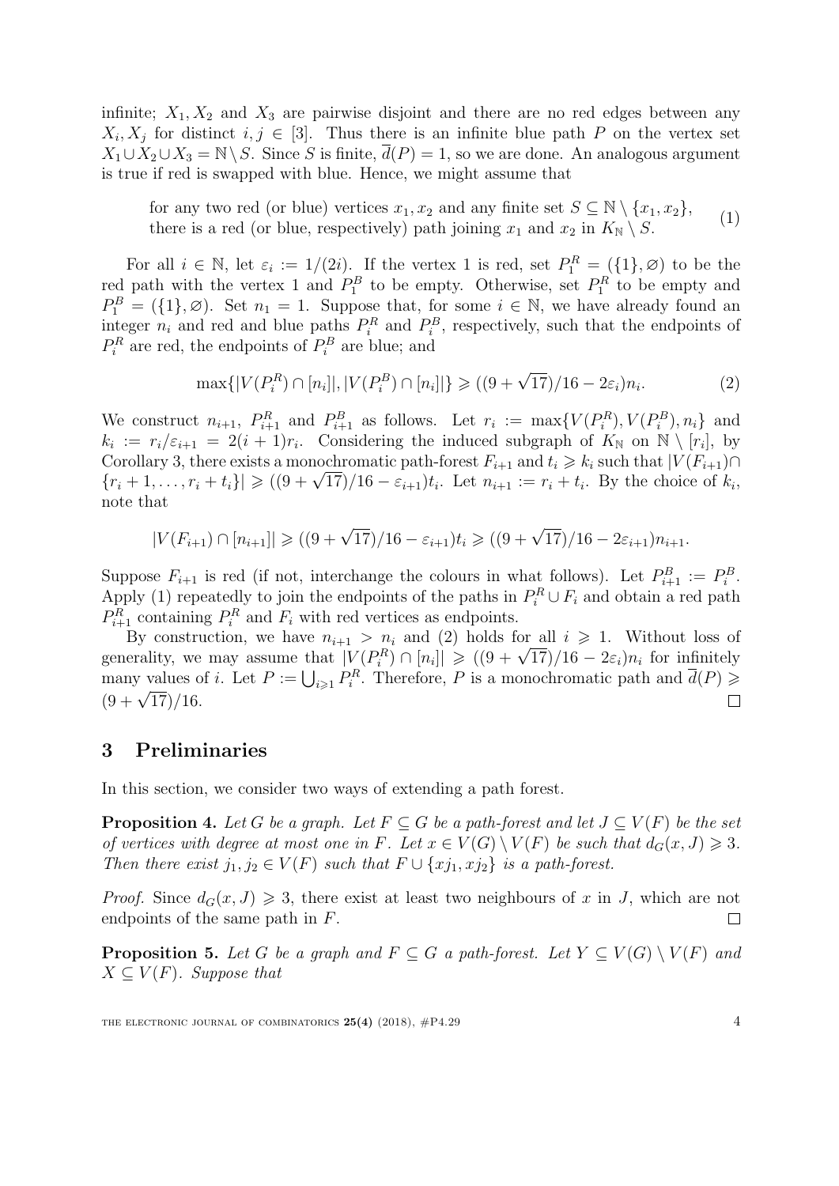infinite;  $X_1, X_2$  and  $X_3$  are pairwise disjoint and there are no red edges between any  $X_i, X_j$  for distinct  $i, j \in [3]$ . Thus there is an infinite blue path P on the vertex set  $X_1 \cup X_2 \cup X_3 = \mathbb{N} \backslash S$ . Since S is finite,  $d(P) = 1$ , so we are done. An analogous argument is true if red is swapped with blue. Hence, we might assume that

for any two red (or blue) vertices  $x_1, x_2$  and any finite set  $S \subseteq \mathbb{N} \setminus \{x_1, x_2\}$ , there is a red (or blue, respectively) path joining  $x_1$  and  $x_2$  in  $K_{\mathbb{N}} \setminus S$ . (1)

For all  $i \in \mathbb{N}$ , let  $\varepsilon_i := 1/(2i)$ . If the vertex 1 is red, set  $P_1^R = (\{1\}, \varnothing)$  to be the red path with the vertex 1 and  $P_1^B$  to be empty. Otherwise, set  $P_1^R$  to be empty and  $P_1^B = (\{1\}, \emptyset)$ . Set  $n_1 = 1$ . Suppose that, for some  $i \in \mathbb{N}$ , we have already found an integer  $n_i$  and red and blue paths  $P_i^R$  and  $P_i^B$ , respectively, such that the endpoints of  $P_i^R$  are red, the endpoints of  $P_i^B$  are blue; and

<span id="page-4-2"></span><span id="page-4-1"></span>
$$
\max\{|V(P_i^R) \cap [n_i]|, |V(P_i^B) \cap [n_i]| \} \geqslant ((9 + \sqrt{17})/16 - 2\varepsilon_i)n_i.
$$
 (2)

We construct  $n_{i+1}$ ,  $P_{i+1}^R$  and  $P_{i+1}^B$  as follows. Let  $r_i := \max\{V(P_i^R), V(P_i^B), n_i\}$  and  $k_i := r_i/\varepsilon_{i+1} = 2(i+1)r_i$ . Considering the induced subgraph of  $K_{\mathbb{N}}$  on  $\mathbb{N} \setminus [r_i]$ , by Corollary [3,](#page-3-2) there exists a monochromatic path-forest  $F_{i+1}$  and  $t_i \geq k_i$  such that  $|V(F_{i+1}) \cap$ Corollary 3, there exists a monochromatic path-forest  $F_{i+1}$  and  $t_i \geq k_i$  such that  $|V(F_{i+1})| \leq (r_i + 1, \ldots, r_i + t_i)| \geq ((9 + \sqrt{17})/16 - \varepsilon_{i+1})t_i$ . Let  $n_{i+1} := r_i + t_i$ . By the choice of  $k_i$ , note that

$$
|V(F_{i+1}) \cap [n_{i+1}]| \ge ((9 + \sqrt{17})/16 - \varepsilon_{i+1})t_i \ge ((9 + \sqrt{17})/16 - 2\varepsilon_{i+1})n_{i+1}.
$$

Suppose  $F_{i+1}$  is red (if not, interchange the colours in what follows). Let  $P_{i+1}^B := P_i^B$ . Apply [\(1\)](#page-4-1) repeatedly to join the endpoints of the paths in  $P_i^R \cup F_i$  and obtain a red path  $P_{i+1}^R$  containing  $P_i^R$  and  $F_i$  with red vertices as endpoints.

By construction, we have  $n_{i+1} > n_i$  and [\(2\)](#page-4-2) holds for all  $i \geq 1$ . Without loss of By construction, we nave  $n_{i+1} > n_i$  and (2) notes for all  $i \ge 1$ . Without loss of generality, we may assume that  $|V(P_i^R) \cap [n_i]| \ge (9 + \sqrt{17})/16 - 2\varepsilon_i n_i$  for infinitely many values of i. Let  $P := \bigcup_{i \geq 1} P_i^R$ . Therefore, P is a monochromatic path and  $\overline{d}(P) \geq$  $(9 + \sqrt{17})/16$ .  $\Box$ 

#### <span id="page-4-0"></span>3 Preliminaries

In this section, we consider two ways of extending a path forest.

<span id="page-4-3"></span>**Proposition 4.** Let G be a graph. Let  $F \subseteq G$  be a path-forest and let  $J \subseteq V(F)$  be the set of vertices with degree at most one in F. Let  $x \in V(G) \setminus V(F)$  be such that  $d_G(x, J) \geq 3$ . Then there exist  $j_1, j_2 \in V(F)$  such that  $F \cup \{xj_1, xj_2\}$  is a path-forest.

*Proof.* Since  $d_G(x, J) \geq 3$ , there exist at least two neighbours of x in J, which are not endpoints of the same path in F.  $\Box$ 

<span id="page-4-4"></span>**Proposition 5.** Let G be a graph and  $F \subseteq G$  a path-forest. Let  $Y \subseteq V(G) \setminus V(F)$  and  $X \subseteq V(F)$ . Suppose that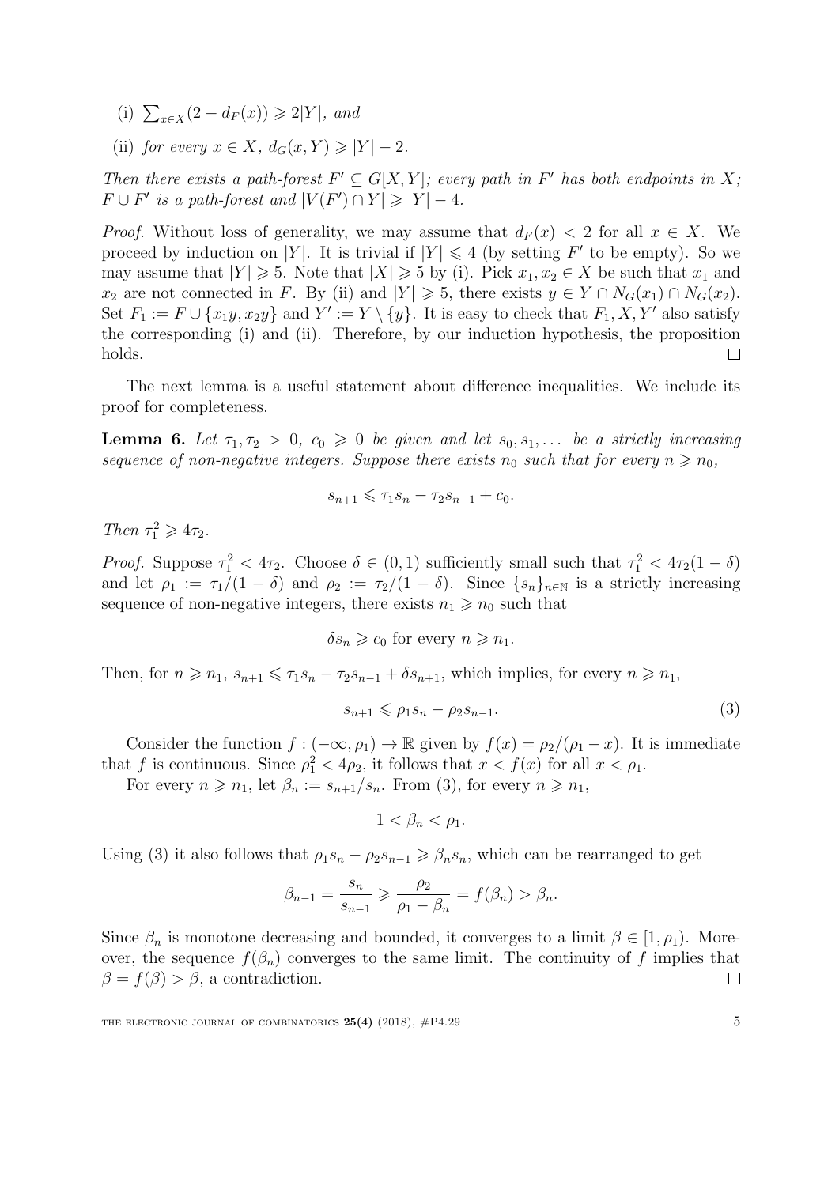- <span id="page-5-0"></span>(i)  $∑_{x \in X}(2 - d_F(x)) ≥ 2|Y|$ , and
- <span id="page-5-1"></span>(ii) for every  $x \in X$ ,  $d_G(x, Y) \geq |Y| - 2$ .

Then there exists a path-forest  $F' \subseteq G[X, Y]$ ; every path in F' has both endpoints in X;  $F \cup F'$  is a path-forest and  $|V(F') \cap Y| \geq |Y| - 4$ .

*Proof.* Without loss of generality, we may assume that  $d_F(x) < 2$  for all  $x \in X$ . We proceed by induction on |Y|. It is trivial if  $|Y| \leq 4$  (by setting F' to be empty). So we may assume that  $|Y| \ge 5$ . Note that  $|X| \ge 5$  by [\(i\).](#page-5-0) Pick  $x_1, x_2 \in X$  be such that  $x_1$  and  $x_2$  are not connected in F. By [\(ii\)](#page-5-1) and  $|Y| \geq 5$ , there exists  $y \in Y \cap N_G(x_1) \cap N_G(x_2)$ . Set  $F_1 := F \cup \{x_1y, x_2y\}$  and  $Y' := Y \setminus \{y\}$ . It is easy to check that  $F_1, X, Y'$  also satisfy the corresponding [\(i\)](#page-5-0) and [\(ii\).](#page-5-1) Therefore, by our induction hypothesis, the proposition holds.  $\Box$ 

The next lemma is a useful statement about difference inequalities. We include its proof for completeness.

<span id="page-5-3"></span>**Lemma 6.** Let  $\tau_1, \tau_2 > 0$ ,  $c_0 \geq 0$  be given and let  $s_0, s_1, \ldots$  be a strictly increasing sequence of non-negative integers. Suppose there exists  $n_0$  such that for every  $n \geq n_0$ ,

$$
s_{n+1} \leqslant \tau_1 s_n - \tau_2 s_{n-1} + c_0.
$$

Then  $\tau_1^2 \geq 4\tau_2$ .

*Proof.* Suppose  $\tau_1^2 < 4\tau_2$ . Choose  $\delta \in (0,1)$  sufficiently small such that  $\tau_1^2 < 4\tau_2(1-\delta)$ and let  $\rho_1 := \tau_1/(1 - \delta)$  and  $\rho_2 := \tau_2/(1 - \delta)$ . Since  $\{s_n\}_{n \in \mathbb{N}}$  is a strictly increasing sequence of non-negative integers, there exists  $n_1 \geq n_0$  such that

$$
\delta s_n \geqslant c_0 \text{ for every } n \geqslant n_1.
$$

Then, for  $n \geq n_1$ ,  $s_{n+1} \leq \tau_1 s_n - \tau_2 s_{n-1} + \delta s_{n+1}$ , which implies, for every  $n \geq n_1$ ,

$$
s_{n+1} \leqslant \rho_1 s_n - \rho_2 s_{n-1}.\tag{3}
$$

Consider the function  $f: (-\infty, \rho_1) \to \mathbb{R}$  given by  $f(x) = \rho_2/(\rho_1 - x)$ . It is immediate that f is continuous. Since  $\rho_1^2 < 4\rho_2$ , it follows that  $x < f(x)$  for all  $x < \rho_1$ .

For every  $n \geq n_1$ , let  $\beta_n := s_{n+1}/s_n$ . From [\(3\)](#page-5-2), for every  $n \geq n_1$ ,

<span id="page-5-2"></span>
$$
1 < \beta_n < \rho_1.
$$

Using [\(3\)](#page-5-2) it also follows that  $\rho_1 s_n - \rho_2 s_{n-1} \geq \beta_n s_n$ , which can be rearranged to get

$$
\beta_{n-1} = \frac{s_n}{s_{n-1}} \geqslant \frac{\rho_2}{\rho_1 - \beta_n} = f(\beta_n) > \beta_n.
$$

Since  $\beta_n$  is monotone decreasing and bounded, it converges to a limit  $\beta \in [1, \rho_1)$ . Moreover, the sequence  $f(\beta_n)$  converges to the same limit. The continuity of f implies that  $\beta = f(\beta) > \beta$ , a contradiction.  $\Box$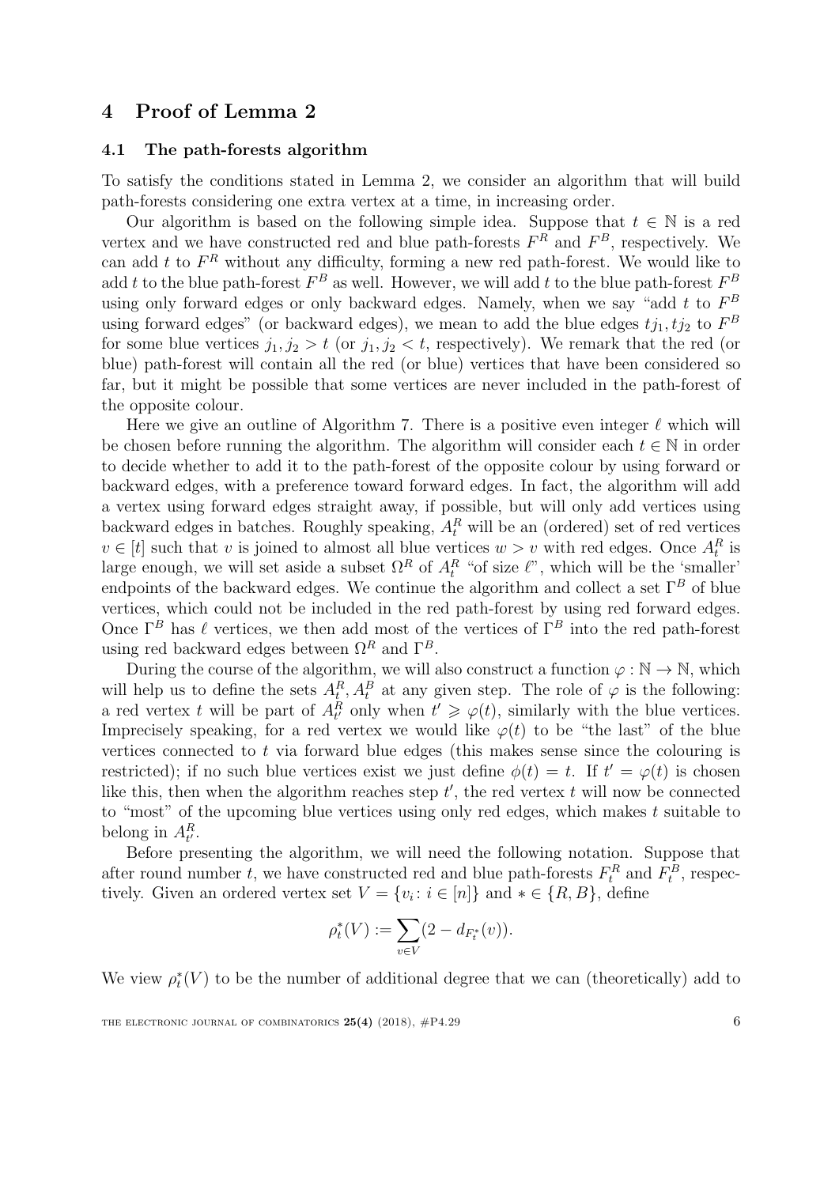#### <span id="page-6-0"></span>4 Proof of Lemma [2](#page-3-1)

#### 4.1 The path-forests algorithm

To satisfy the conditions stated in Lemma [2,](#page-3-1) we consider an algorithm that will build path-forests considering one extra vertex at a time, in increasing order.

Our algorithm is based on the following simple idea. Suppose that  $t \in \mathbb{N}$  is a red vertex and we have constructed red and blue path-forests  $F<sup>R</sup>$  and  $F<sup>B</sup>$ , respectively. We can add t to  $F<sup>R</sup>$  without any difficulty, forming a new red path-forest. We would like to add t to the blue path-forest  $F^B$  as well. However, we will add t to the blue path-forest  $F^B$ using only forward edges or only backward edges. Namely, when we say "add  $t$  to  $F^B$ using forward edges" (or backward edges), we mean to add the blue edges  $t_{j_1}, t_{j_2}$  to  $F^B$ for some blue vertices  $j_1, j_2 > t$  (or  $j_1, j_2 < t$ , respectively). We remark that the red (or blue) path-forest will contain all the red (or blue) vertices that have been considered so far, but it might be possible that some vertices are never included in the path-forest of the opposite colour.

Here we give an outline of Algorithm [7.](#page-7-0) There is a positive even integer  $\ell$  which will be chosen before running the algorithm. The algorithm will consider each  $t \in \mathbb{N}$  in order to decide whether to add it to the path-forest of the opposite colour by using forward or backward edges, with a preference toward forward edges. In fact, the algorithm will add a vertex using forward edges straight away, if possible, but will only add vertices using backward edges in batches. Roughly speaking,  $A_t^R$  will be an (ordered) set of red vertices  $v \in [t]$  such that v is joined to almost all blue vertices  $w > v$  with red edges. Once  $A_t^R$  is large enough, we will set aside a subset  $\Omega^R$  of  $A_t^R$  "of size  $\ell$ ", which will be the 'smaller' endpoints of the backward edges. We continue the algorithm and collect a set  $\Gamma^B$  of blue vertices, which could not be included in the red path-forest by using red forward edges. Once  $\Gamma^B$  has  $\ell$  vertices, we then add most of the vertices of  $\Gamma^B$  into the red path-forest using red backward edges between  $\Omega^R$  and  $\Gamma^B$ .

During the course of the algorithm, we will also construct a function  $\varphi : \mathbb{N} \to \mathbb{N}$ , which will help us to define the sets  $A_t^R$ ,  $A_t^B$  at any given step. The role of  $\varphi$  is the following: a red vertex t will be part of  $A_t^R$  only when  $t' \geq \varphi(t)$ , similarly with the blue vertices. Imprecisely speaking, for a red vertex we would like  $\varphi(t)$  to be "the last" of the blue vertices connected to  $t$  via forward blue edges (this makes sense since the colouring is restricted); if no such blue vertices exist we just define  $\phi(t) = t$ . If  $t' = \varphi(t)$  is chosen like this, then when the algorithm reaches step  $t'$ , the red vertex  $t$  will now be connected to "most" of the upcoming blue vertices using only red edges, which makes  $t$  suitable to belong in  $A_{t'}^R$ .

Before presenting the algorithm, we will need the following notation. Suppose that after round number t, we have constructed red and blue path-forests  $F_t^R$  and  $F_t^B$ , respectively. Given an ordered vertex set  $V = \{v_i : i \in [n]\}$  and  $* \in \{R, B\}$ , define

$$
\rho_t^*(V) := \sum_{v \in V} (2 - d_{F_t^*}(v)).
$$

We view  $\rho_t^*(V)$  to be the number of additional degree that we can (theoretically) add to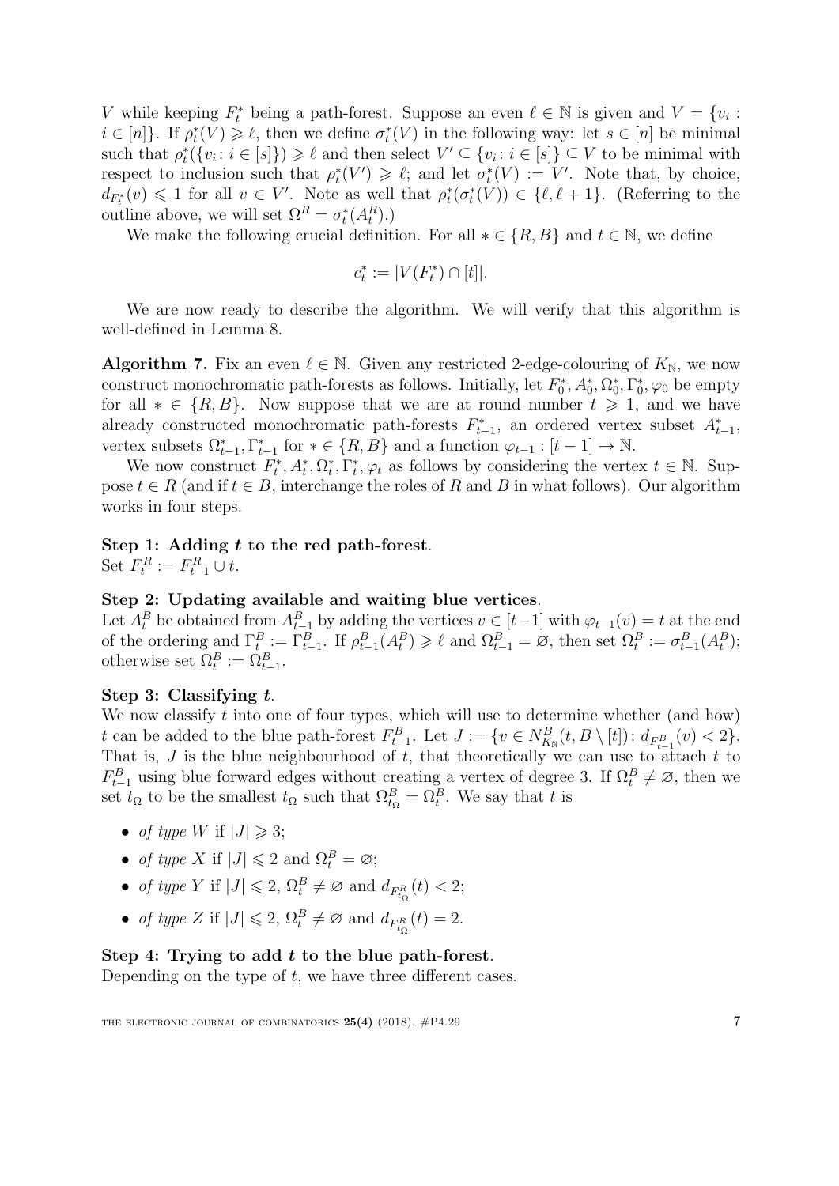V while keeping  $F_t^*$  being a path-forest. Suppose an even  $\ell \in \mathbb{N}$  is given and  $V = \{v_i :$  $i \in [n]$ . If  $\rho_t^*(V) \geq \ell$ , then we define  $\sigma_t^*(V)$  in the following way: let  $s \in [n]$  be minimal such that  $\rho_t^*({v_i : i \in [s]}) \geq \ell$  and then select  $V' \subseteq {v_i : i \in [s]} \subseteq V$  to be minimal with respect to inclusion such that  $\rho_t^*(V') \geq \ell$ ; and let  $\sigma_t^*(V) := V'$ . Note that, by choice,  $d_{F_t^*}(v) \leq 1$  for all  $v \in V'$ . Note as well that  $\rho_t^*(\sigma_t^*(V)) \in \{\ell, \ell+1\}$ . (Referring to the outline above, we will set  $\Omega^R = \sigma_t^*(A_t^R)$ .)

We make the following crucial definition. For all  $* \in \{R, B\}$  and  $t \in \mathbb{N}$ , we define

$$
c_t^*:=|V(F_t^*)\cap[t]|.
$$

We are now ready to describe the algorithm. We will verify that this algorithm is well-defined in Lemma [8.](#page-8-0)

<span id="page-7-0"></span>**Algorithm 7.** Fix an even  $\ell \in \mathbb{N}$ . Given any restricted 2-edge-colouring of  $K_{\mathbb{N}}$ , we now construct monochromatic path-forests as follows. Initially, let  $F_0^*, A_0^*, \Omega_0^*, \Gamma_0^*, \varphi_0$  be empty for all  $* \in \{R, B\}$ . Now suppose that we are at round number  $t \geq 1$ , and we have already constructed monochromatic path-forests  $F_{t-1}^*$ , an ordered vertex subset  $A_{t-1}^*$ , vertex subsets  $\Omega_{t-1}^*$ ,  $\Gamma_{t-1}^*$  for  $* \in \{R, B\}$  and a function  $\varphi_{t-1} : [t-1] \to \mathbb{N}$ .

We now construct  $F_t^*, A_t^*, \Omega_t^*, \overline{\Gamma_t^*, \varphi_t}$  as follows by considering the vertex  $t \in \mathbb{N}$ . Suppose  $t \in R$  (and if  $t \in B$ , interchange the roles of R and B in what follows). Our algorithm works in four steps.

#### Step 1: Adding t to the red path-forest.

Set  $F_t^R := F_{t-1}^R \cup t$ .

#### Step 2: Updating available and waiting blue vertices.

Let  $A_t^B$  be obtained from  $A_{t-1}^B$  by adding the vertices  $v \in [t-1]$  with  $\varphi_{t-1}(v) = t$  at the end of the ordering and  $\Gamma_t^B := \Gamma_{t-1}^B$ . If  $\rho_{t-1}^B(A_t^B) \geq \ell$  and  $\Omega_{t-1}^B = \emptyset$ , then set  $\Omega_t^B := \sigma_{t-1}^B(A_t^B)$ ; otherwise set  $\Omega_t^B := \Omega_{t-1}^B$ .

#### <span id="page-7-1"></span>Step 3: Classifying t.

We now classify  $t$  into one of four types, which will use to determine whether (and how) t can be added to the blue path-forest  $F_{t-1}^B$ . Let  $J := \{v \in N_{K_{\mathbb{N}}}^B(t, B \setminus [t]) : d_{F_{t-1}^B}(v) < 2\}.$ That is,  $J$  is the blue neighbourhood of  $t$ , that theoretically we can use to attach  $t$  to  $F_{t-1}^B$  using blue forward edges without creating a vertex of degree 3. If  $\Omega_t^B \neq \emptyset$ , then we set  $t_{\Omega}$  to be the smallest  $t_{\Omega}$  such that  $\Omega_{t_{\Omega}}^B = \Omega_t^B$ . We say that t is

- of type W if  $|J| \geq 3$ ;
- of type X if  $|J| \leq 2$  and  $\Omega_t^B = \varnothing$ ;
- of type Y if  $|J| \leq 2$ ,  $\Omega_t^B \neq \emptyset$  and  $d_{F_{t_0}^R}(t) < 2$ ;
- of type Z if  $|J| \leq 2$ ,  $\Omega_t^B \neq \emptyset$  and  $d_{F_{t_2}^R}(t) = 2$ .

#### Step 4: Trying to add  $t$  to the blue path-forest.

Depending on the type of  $t$ , we have three different cases.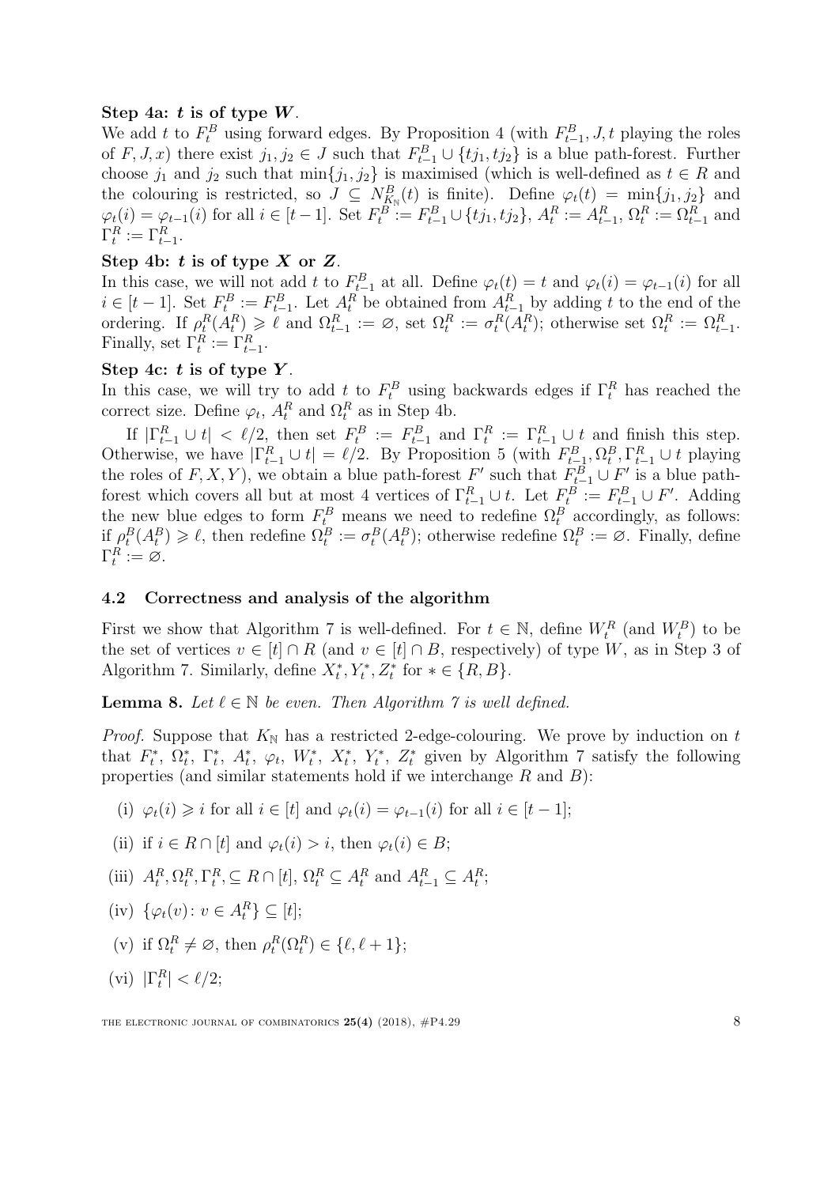#### <span id="page-8-4"></span>Step 4a:  $t$  is of type  $W$ .

We add t to  $F_t^B$  using forward edges. By Proposition [4](#page-4-3) (with  $F_{t-1}^B, J, t$  playing the roles of  $F, J, x$ ) there exist  $j_1, j_2 \in J$  such that  $F_{t-1}^B \cup \{tj_1, tj_2\}$  is a blue path-forest. Further choose  $j_1$  and  $j_2$  such that min $\{j_1, j_2\}$  is maximised (which is well-defined as  $t \in R$  and the colouring is restricted, so  $J \subseteq N_{K_{\mathbb{N}}}^B(t)$  is finite). Define  $\varphi_t(t) = \min\{j_1, j_2\}$  and  $\varphi_t(i) = \varphi_{t-1}(i)$  for all  $i \in [t-1]$ . Set  $F_t^B := F_{t-1}^B \cup \{tj_1, tj_2\}$ ,  $A_t^R := A_{t-1}^R$ ,  $\Omega_t^R := \Omega_{t-1}^R$  and  $\Gamma_t^R := \Gamma_{t-1}^R$ .

#### <span id="page-8-1"></span>Step 4b:  $t$  is of type  $X$  or  $Z$ .

In this case, we will not add t to  $F_{t-1}^B$  at all. Define  $\varphi_t(t) = t$  and  $\varphi_t(i) = \varphi_{t-1}(i)$  for all  $i \in [t-1]$ . Set  $F_t^B := F_{t-1}^B$ . Let  $A_t^R$  be obtained from  $A_{t-1}^R$  by adding t to the end of the ordering. If  $\rho_t^R(A_t^R) \geq \ell$  and  $\Omega_{t-1}^R := \emptyset$ , set  $\Omega_t^R := \sigma_t^R(A_t^R)$ ; otherwise set  $\Omega_t^R := \Omega_{t-1}^R$ . Finally, set  $\Gamma_t^R := \Gamma_{t-1}^R$ .

#### <span id="page-8-5"></span>Step 4c:  $t$  is of type  $Y$ .

In this case, we will try to add  $t$  to  $F_t^B$  using backwards edges if  $\Gamma_t^R$  has reached the correct size. Define  $\varphi_t$ ,  $A_t^R$  and  $\Omega_t^R$  as in Step [4b.](#page-8-1)

If  $|\Gamma_{t-1}^R \cup t| < \ell/2$ , then set  $F_t^B := F_{t-1}^B$  and  $\Gamma_t^R := \Gamma_{t-1}^R \cup t$  and finish this step.  $t$   $\cdot$  −  $\Gamma$ <sub>t−1</sub> and  $\Gamma$ <sub>t</sub> Otherwise, we have  $|\Gamma_{t-1}^R \cup t| = \ell/2$ . By Proposition [5](#page-4-4) (with  $F_{t-1}^B, \Omega_t^B, \Gamma_{t-1}^R \cup t$  playing the roles of  $F, X, Y$ , we obtain a blue path-forest  $F'$  such that  $F_{t-1}^B \cup F'$  is a blue pathforest which covers all but at most 4 vertices of  $\Gamma_{t-1}^R \cup t$ . Let  $F_t^B := F_{t-1}^B \cup F'$ . Adding the new blue edges to form  $F_t^B$  means we need to redefine  $\Omega_t^B$  accordingly, as follows: if  $\rho_t^B(A_t^B) \geq \ell$ , then redefine  $\Omega_t^B := \sigma_t^B(A_t^B)$ ; otherwise redefine  $\Omega_t^B := \emptyset$ . Finally, define  $\Gamma_t^R := \varnothing.$ 

#### 4.2 Correctness and analysis of the algorithm

First we show that Algorithm [7](#page-7-0) is well-defined. For  $t \in \mathbb{N}$ , define  $W_t^R$  (and  $W_t^B$ ) to be the set of vertices  $v \in [t] \cap R$  (and  $v \in [t] \cap B$ , respectively) of type W, as in Step [3](#page-7-1) of Algorithm [7.](#page-7-0) Similarly, define  $X_t^*, Y_t^*, Z_t^*$  for  $* \in \{R, B\}.$ 

<span id="page-8-0"></span>**Lemma 8.** Let  $\ell \in \mathbb{N}$  be even. Then Algorithm [7](#page-7-0) is well defined.

*Proof.* Suppose that  $K_N$  has a restricted 2-edge-colouring. We prove by induction on t that  $F_t^*, \Omega_t^*, \Gamma_t^*, A_t^*, \varphi_t, W_t^*, X_t^*, Y_t^*, Z_t^*$  given by Algorithm [7](#page-7-0) satisfy the following properties (and similar statements hold if we interchange  $R$  and  $B$ ):

<span id="page-8-2"></span>(i)  $\varphi_t(i) \geq i$  for all  $i \in [t]$  and  $\varphi_t(i) = \varphi_{t-1}(i)$  for all  $i \in [t-1]$ ;

(ii) if 
$$
i \in R \cap [t]
$$
 and  $\varphi_t(i) > i$ , then  $\varphi_t(i) \in B$ ;

- (iii)  $A_t^R, \Omega_t^R, \Gamma_t^R, \subseteq R \cap [t], \Omega_t^R \subseteq A_t^R$  and  $A_{t-1}^R \subseteq A_t^R$ ;
- <span id="page-8-3"></span>(iv)  $\{\varphi_t(v): v \in A_t^R\} \subseteq [t];$
- (v) if  $\Omega_t^R \neq \emptyset$ , then  $\rho_t^R(\Omega_t^R) \in \{\ell, \ell + 1\};$
- (vi)  $|\Gamma_t^R| < \ell/2;$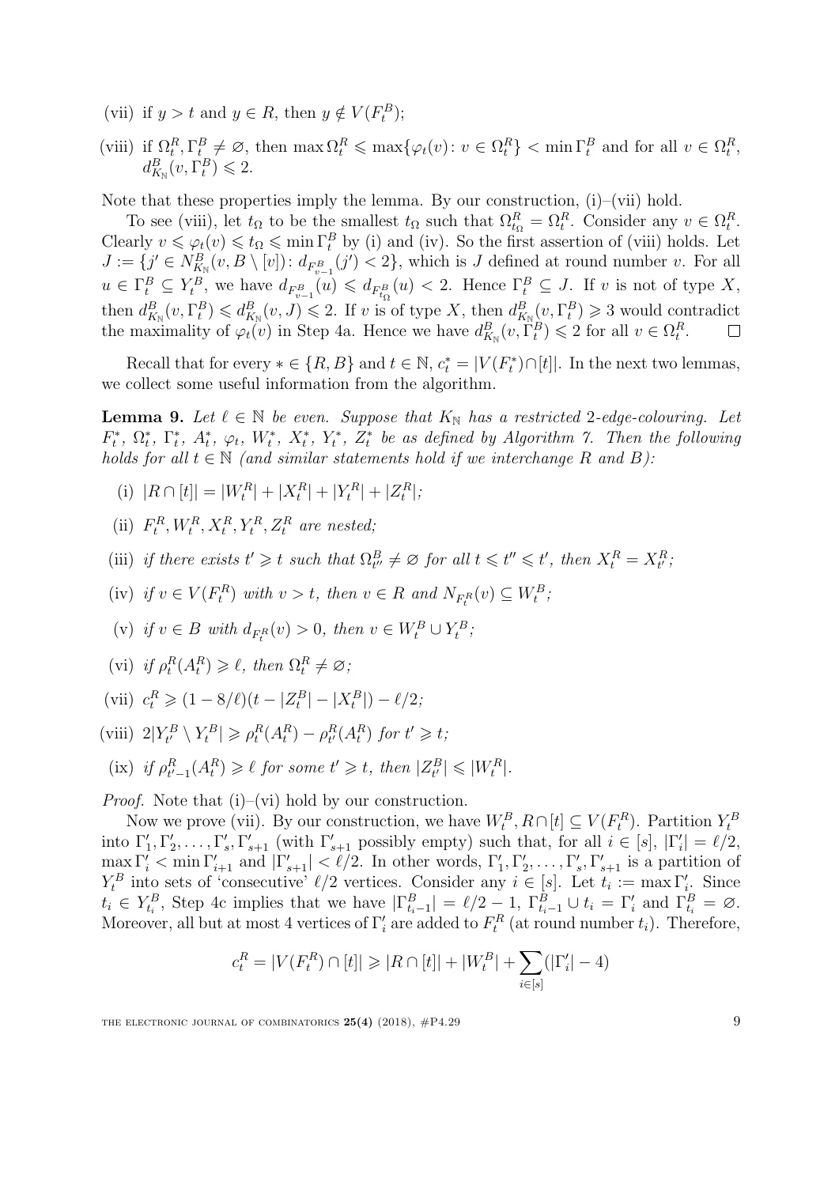- <span id="page-9-0"></span>(vii) if  $y > t$  and  $y \in R$ , then  $y \notin V(F_t^B);$
- <span id="page-9-1"></span>(viii) if  $\Omega_t^R, \Gamma_t^B \neq \emptyset$ , then  $\max \Omega_t^R \leq \max \{ \varphi_t(v) : v \in \Omega_t^R \}$  <  $\min \Gamma_t^B$  and for all  $v \in \Omega_t^R$ ,  $d_{K_{\mathbb{N}}}^{B}(v,\Gamma_t^B)\leqslant 2.$

Note that these properties imply the lemma. By our construction,  $(i)$ – $(vii)$  hold.

To see [\(viii\),](#page-9-1) let  $t_{\Omega}$  to be the smallest  $t_{\Omega}$  such that  $\Omega_{t_{\Omega}}^R = \Omega_t^R$ . Consider any  $v \in \Omega_t^R$ . Clearly  $v \leq \varphi_t(v) \leq t_\Omega \leq \min \Gamma_t^B$  by [\(i\)](#page-8-2) and [\(iv\).](#page-8-3) So the first assertion of [\(viii\)](#page-9-1) holds. Let  $J := \{j' \in N_{K_{\mathbb{N}}}^B(v, B \setminus [v]) : d_{F_{v-1}^B}(j') < 2\}$ , which is J defined at round number v. For all  $u \in \Gamma_t^B \subseteq Y_t^B$ , we have  $d_{F_{v-1}^B}(u) \leq d_{F_{t_0}^B}(u) < 2$ . Hence  $\Gamma_t^B \subseteq J$ . If v is not of type X, then  $d_{K_{\mathbb{N}}}^{B}(v, \Gamma_{t}^{B}) \leq d_{K_{\mathbb{N}}}^{B}(v, J) \leq 2$ . If v is of type X, then  $d_{K_{\mathbb{N}}}^{B}(v, \Gamma_{t}^{B}) \geq 3$  would contradict the maximality of  $\varphi_t(v)$  in Step [4a.](#page-8-4) Hence we have  $d_{K_N}^B(v, \Gamma_t^B) \leq 2$  for all  $v \in \Omega_t^R$ .

Recall that for every  $*\in \{R, B\}$  and  $t \in \mathbb{N}$ ,  $c_t^* = |V(F_t^*) \cap [t]|$ . In the next two lemmas, we collect some useful information from the algorithm.

<span id="page-9-8"></span>**Lemma 9.** Let  $\ell \in \mathbb{N}$  be even. Suppose that  $K_{\mathbb{N}}$  has a restricted 2-edge-colouring. Let  $F_t^*, \ \Omega_t^*, \ \Gamma_t^*, \ A_t^*, \ \varphi_t, \ W_t^*, \ X_t^*, \ Y_t^*, \ Z_t^* \$ be as defined by Algorithm [7.](#page-7-0) Then the following holds for all  $t \in \mathbb{N}$  (and similar statements hold if we interchange R and B):

- <span id="page-9-2"></span>(i)  $|R \cap [t]| = |W_t^R| + |X_t^R| + |Y_t^R| + |Z_t^R|;$
- (ii)  $F_t^R, W_t^R, X_t^R, Y_t^R, Z_t^R$  are nested;
- <span id="page-9-10"></span>(iii) if there exists  $t' \geq t$  such that  $\Omega_{t''}^B \neq \emptyset$  for all  $t \leq t'' \leq t'$ , then  $X_t^R = X_{t'}^R$ ,
- <span id="page-9-7"></span>(iv) if  $v \in V(F_t^R)$  with  $v > t$ , then  $v \in R$  and  $N_{F_t^R}(v) \subseteq W_t^B$ ;
- <span id="page-9-9"></span>(v) if  $v \in B$  with  $d_{F_t^R}(v) > 0$ , then  $v \in W_t^B \cup Y_t^B$ ;
- <span id="page-9-3"></span>(vi) if  $\rho_t^R(A_t^R) \ge \ell$ , then  $\Omega_t^R \neq \emptyset$ ;
- <span id="page-9-4"></span>(vii)  $c_t^R \geq (1 - 8/\ell)(t - |Z_t^B| - |X_t^B|) - \ell/2;$
- <span id="page-9-5"></span>(viii)  $2|Y_t^B \setminus Y_t^B| \geq \rho_t^R(A_t^R) - \rho_{t'}^R(A_t^R)$  for  $t' \geq t$ ;
- <span id="page-9-6"></span>(ix) if  $\rho_{t'-1}^R(A_t^R) \geq \ell$  for some  $t' \geq t$ , then  $|Z_{t'}^B| \leq |W_t^R|$ .

*Proof.* Note that  $(i)$ – $(vi)$  hold by our construction.

Now we prove [\(vii\).](#page-9-4) By our construction, we have  $W_t^B, R \cap [t] \subseteq V(F_t^R)$ . Partition  $Y_t^B$ into  $\Gamma'_1, \Gamma'_2, \ldots, \Gamma'_s, \Gamma'_{s+1}$  (with  $\Gamma'_{s+1}$  possibly empty) such that, for all  $i \in [s], |\Gamma'_i| = \ell/2$ ,  $\max \Gamma'_i < \min \Gamma'_{i+1}$  and  $|\Gamma'_{s+1}| < l/2$ . In other words,  $\Gamma'_1, \Gamma'_2, \ldots, \Gamma'_s, \Gamma'_{s+1}$  is a partition of  $Y_t^B$  into sets of 'consecutive'  $\ell/2$  vertices. Consider any  $i \in [s]$ . Let  $t_i := \max \Gamma'_i$ . Since  $t_i \in Y_{t_i}^B$ , Step [4c](#page-8-5) implies that we have  $|\Gamma_{t_i-1}^B| = \ell/2 - 1$ ,  $\Gamma_{t_i-1}^B \cup t_i = \Gamma_i'$  and  $\Gamma_{t_i}^B = \varnothing$ . Moreover, all but at most 4 vertices of  $\Gamma_i$  are added to  $F_t^R$  (at round number  $t_i$ ). Therefore,

$$
c_t^R = |V(F_t^R) \cap [t]| \geq |R \cap [t]| + |W_t^B| + \sum_{i \in [s]} (|\Gamma'_i| - 4)
$$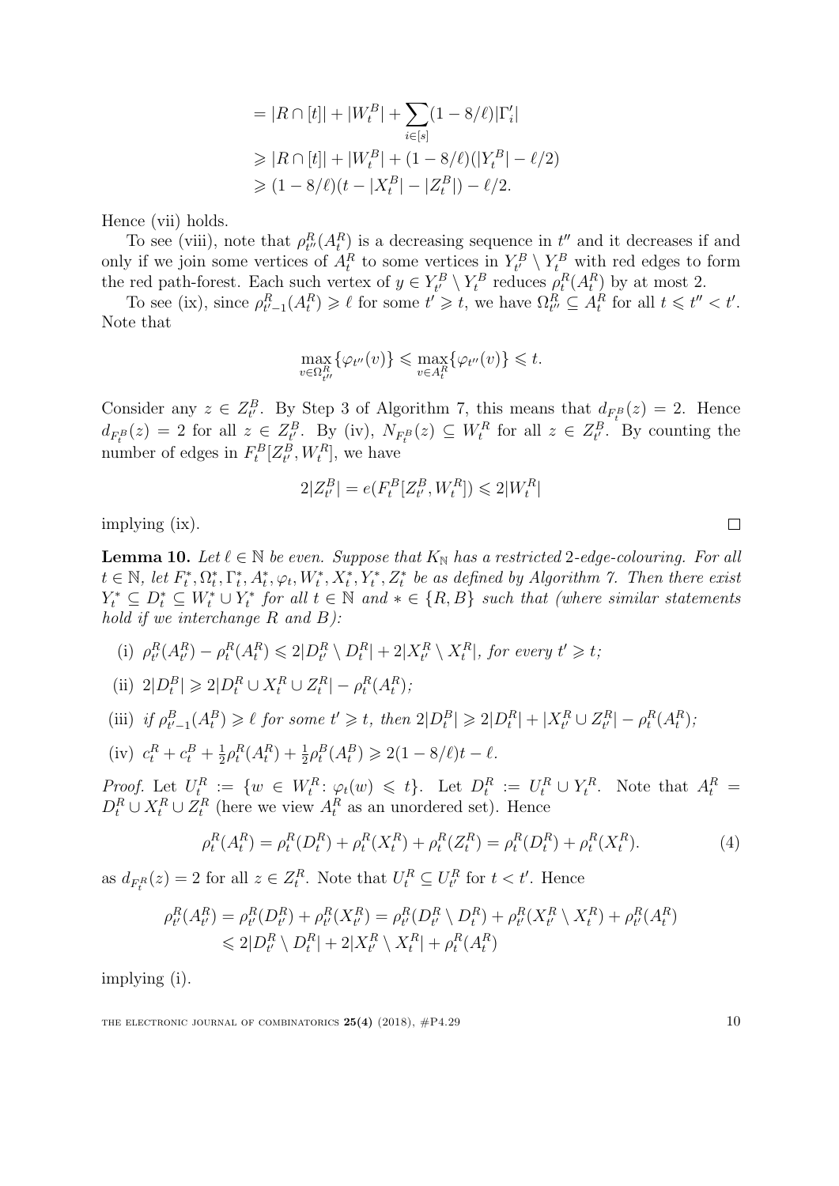$$
= |R \cap [t]| + |W_t^B| + \sum_{i \in [s]} (1 - 8/\ell)|\Gamma'_i|
$$
  
\n
$$
\geq |R \cap [t]| + |W_t^B| + (1 - 8/\ell)(|Y_t^B| - \ell/2)
$$
  
\n
$$
\geq (1 - 8/\ell)(t - |X_t^B| - |Z_t^B|) - \ell/2.
$$

Hence [\(vii\)](#page-9-4) holds.

To see [\(viii\),](#page-9-5) note that  $\rho_{t''}^R(A_t^R)$  is a decreasing sequence in  $t''$  and it decreases if and only if we join some vertices of  $A_t^R$  to some vertices in  $Y_t^B \setminus Y_t^B$  with red edges to form the red path-forest. Each such vertex of  $y \in Y_t^B \setminus Y_t^B$  reduces  $\rho_t^R(A_t^B)$  by at most 2.

To see [\(ix\),](#page-9-6) since  $\rho_{t'-1}^R(A_t^R) \geq \ell$  for some  $t' \geq t$ , we have  $\Omega_{t''}^R \subseteq A_t^R$  for all  $t \leq t'' < t'$ . Note that

$$
\max_{v \in \Omega^R_{t''}} \{ \varphi_{t''}(v) \} \le \max_{v \in A^R_t} \{ \varphi_{t''}(v) \} \le t.
$$

Consider any  $z \in Z_{t'}^B$ . By Step [3](#page-7-1) of Algorithm [7,](#page-7-0) this means that  $d_{F_t^B}(z) = 2$ . Hence  $d_{F_t^B}(z) = 2$  for all  $z \in Z_{t'}^B$ . By [\(iv\),](#page-9-7)  $N_{F_t^B}(z) \subseteq W_t^R$  for all  $z \in Z_{t'}^B$ . By counting the number of edges in  $F_t^B[Z_t^B, W_t^R]$ , we have

$$
2|Z_{t'}^B| = e(F_t^B[Z_{t'}^B,W_t^R]) \leqslant 2|W_t^R|
$$

implying [\(ix\).](#page-9-6)

<span id="page-10-4"></span>**Lemma 10.** Let  $\ell \in \mathbb{N}$  be even. Suppose that  $K_{\mathbb{N}}$  has a restricted 2-edge-colouring. For all  $t \in \mathbb{N}$ , let  $F_t^*, \Omega_t^*, \Gamma_t^*, A_t^*, \varphi_t, W_t^*, X_t^*, Y_t^*, Z_t^*$  be as defined by Algorithm [7.](#page-7-0) Then there exist  $Y_t^* \subseteq D_t^* \subseteq W_t^* \cup Y_t^*$  for all  $t \in \mathbb{N}$  and  $* \in \{R, B\}$  such that (where similar statements hold if we interchange  $R$  and  $B$ ):

- <span id="page-10-0"></span>(i)  $\rho_{t'}^R(A_{t'}^R) - \rho_t^R(A_t^R) \leq 2|D_{t'}^R \setminus D_t^R| + 2|X_{t'}^R \setminus X_t^R|$ , for every  $t' \geq t$ ;
- <span id="page-10-1"></span>(ii)  $2|D_t^B| \geq 2|D_t^R \cup X_t^R \cup Z_t^R| - \rho_t^R(A_t^R);$

<span id="page-10-2"></span>
$$
\text{(iii)}~~\textit{if}~\rho_{t'-1}^B(A_t^B) \geqslant \ell~\textit{for some}~t' \geqslant t,~\textit{then}~2|D_t^B| \geqslant 2|D_t^R|+|X_{t'}^R \cup Z_{t'}^R|-\rho_t^R(A_t^R);
$$

<span id="page-10-3"></span>(iv) 
$$
c_t^R + c_t^B + \frac{1}{2}\rho_t^R(A_t^R) + \frac{1}{2}\rho_t^B(A_t^B) \ge 2(1 - 8/\ell)t - \ell.
$$

*Proof.* Let  $U_t^R := \{w \in W_t^R \colon \varphi_t(w) \leq t\}$ . Let  $D_t^R := U_t^R \cup Y_t^R$ . Note that  $A_t^R =$  $D_t^R \cup X_t^R \cup Z_t^R$  (here we view  $A_t^R$  as an unordered set). Hence

$$
\rho_t^R(A_t^R) = \rho_t^R(D_t^R) + \rho_t^R(X_t^R) + \rho_t^R(Z_t^R) = \rho_t^R(D_t^R) + \rho_t^R(X_t^R). \tag{4}
$$

as  $d_{F_t^R}(z) = 2$  for all  $z \in Z_t^R$ . Note that  $U_t^R \subseteq U_{t'}^R$  for  $t < t'$ . Hence

$$
\rho_{t'}^R(A_{t'}^R) = \rho_{t'}^R(D_{t'}^R) + \rho_{t'}^R(X_{t'}^R) = \rho_{t'}^R(D_{t'}^R \setminus D_t^R) + \rho_{t'}^R(X_{t'}^R \setminus X_t^R) + \rho_{t'}^R(A_t^R) \n\leq 2|D_{t'}^R \setminus D_t^R| + 2|X_{t'}^R \setminus X_t^R| + \rho_{t}^R(A_t^R)
$$

implying [\(i\).](#page-10-0)

THE ELECTRONIC JOURNAL OF COMBINATORICS  $25(4)$  (2018),  $\#P4.29$  10

 $\Box$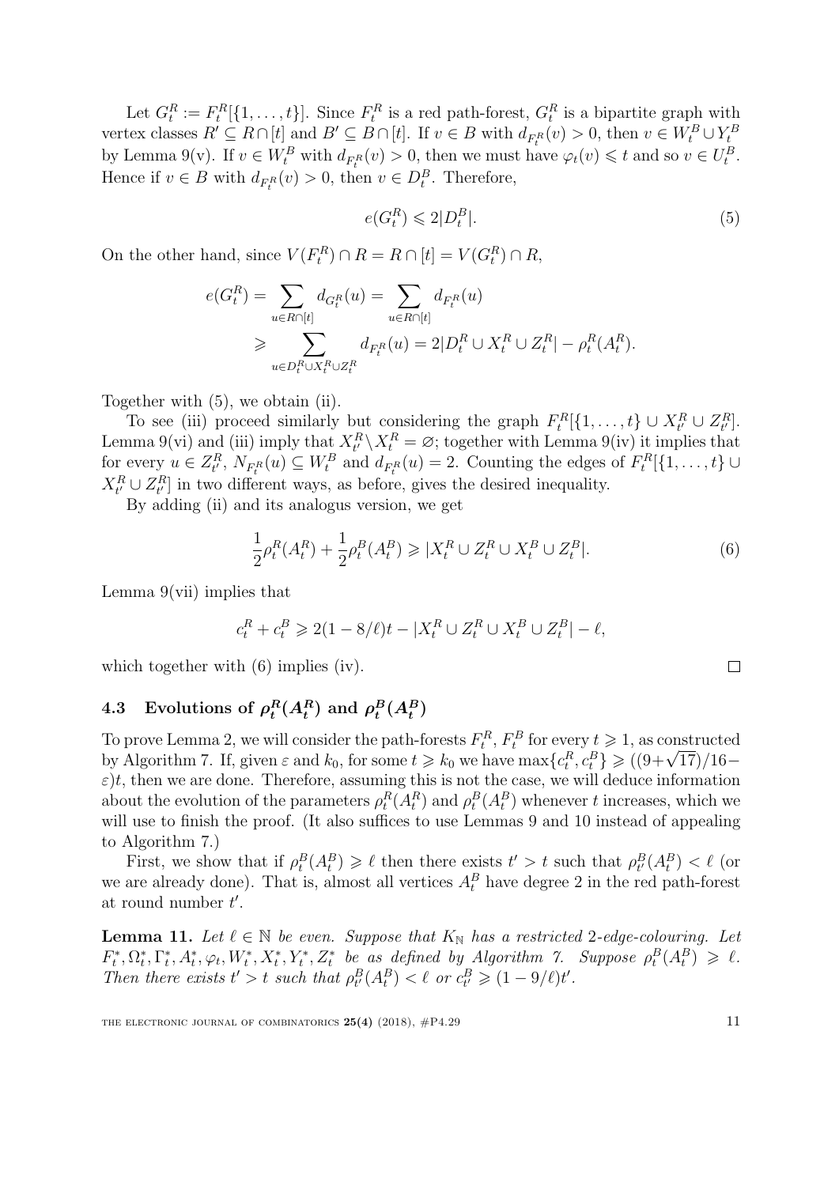Let  $G_t^R := F_t^R[\{1, \ldots, t\}].$  Since  $F_t^R$  is a red path-forest,  $G_t^R$  is a bipartite graph with vertex classes  $R' \subseteq R \cap [t]$  and  $B' \subseteq B \cap [t]$ . If  $v \in B$  with  $d_{F_t^R}(v) > 0$ , then  $v \in W_t^B \cup Y_t^B$ by Lemma [9](#page-9-8)[\(v\).](#page-9-9) If  $v \in W_t^B$  with  $d_{F_t^R}(v) > 0$ , then we must have  $\varphi_t(v) \leq t$  and so  $v \in U_t^B$ . Hence if  $v \in B$  with  $d_{F_t^R}(v) > 0$ , then  $v \in D_t^B$ . Therefore,

<span id="page-11-0"></span>
$$
e(G_t^R) \leq 2|D_t^B|.\tag{5}
$$

On the other hand, since  $V(F_t^R) \cap R = R \cap [t] = V(G_t^R) \cap R$ ,

$$
e(G_t^R) = \sum_{u \in R \cap [t]} d_{G_t^R}(u) = \sum_{u \in R \cap [t]} d_{F_t^R}(u)
$$
  
\n
$$
\geqslant \sum_{u \in D_t^R \cup X_t^R \cup Z_t^R} d_{F_t^R}(u) = 2|D_t^R \cup X_t^R \cup Z_t^R| - \rho_t^R(A_t^R).
$$

Together with [\(5\)](#page-11-0), we obtain [\(ii\).](#page-10-1)

To see [\(iii\)](#page-10-2) proceed similarly but considering the graph  $F_t^R[\{1,\ldots,t\} \cup X_{t'}^R \cup Z_{t'}^R]$ . Lemma [9](#page-9-8)[\(vi\)](#page-9-3) and [\(iii\)](#page-9-10) imply that  $X_t^R \setminus X_t^R = \varnothing$ ; together with Lemma 9[\(iv\)](#page-9-7) it implies that for every  $u \in Z_{t'}^R$ ,  $N_{F_t^R}(u) \subseteq W_t^B$  and  $d_{F_t^R}(u) = 2$ . Counting the edges of  $F_t^R[\{1, \ldots, t\} \cup$  $X_{t'}^R \cup Z_{t'}^R$  in two different ways, as before, gives the desired inequality.

By adding [\(ii\)](#page-10-1) and its analogus version, we get

<span id="page-11-1"></span>
$$
\frac{1}{2}\rho_t^R(A_t^R) + \frac{1}{2}\rho_t^B(A_t^B) \ge |X_t^R \cup Z_t^R \cup X_t^B \cup Z_t^B|.
$$
 (6)

Lemma [9](#page-9-8)[\(vii\)](#page-9-4) implies that

$$
c_t^R + c_t^B \ge 2(1 - 8/\ell)t - |X_t^R \cup Z_t^R \cup X_t^B \cup Z_t^B| - \ell,
$$

which together with  $(6)$  implies [\(iv\).](#page-10-3)

#### 4.3 Evolutions of  $\rho_t^R$  $_{t}^{R}(A_{t}^{R})$  and  $\rho_{t}^{B}$  $\frac{B}{t}(A_t^B)$

To prove Lemma [2,](#page-3-1) we will consider the path-forests  $F_t^R$ ,  $F_t^B$  for every  $t \geq 1$ , as constructed 10 prove Lemma 2, we will consider the path-forests  $F_t^*$ ,  $F_t^*$  for every  $t \ge 1$ , as constructed<br>by Algorithm [7.](#page-7-0) If, given ε and  $k_0$ , for some  $t \ge k_0$  we have max{ $c_t^R$ ,  $c_t^B$ } ≥ ((9+√17)/16−  $\varepsilon$ )t, then we are done. Therefore, assuming this is not the case, we will deduce information about the evolution of the parameters  $\rho_t^R(A_t^R)$  and  $\rho_t^B(A_t^B)$  whenever t increases, which we will use to finish the proof. (It also suffices to use Lemmas [9](#page-9-8) and [10](#page-10-4) instead of appealing to Algorithm [7.](#page-7-0))

First, we show that if  $\rho_t^B(A_t^B) \geq \ell$  then there exists  $t' > t$  such that  $\rho_t^B(A_t^B) < \ell$  (or we are already done). That is, almost all vertices  $A_t^B$  have degree 2 in the red path-forest at round number  $t'$ .

<span id="page-11-2"></span>**Lemma 11.** Let  $\ell \in \mathbb{N}$  be even. Suppose that  $K_{\mathbb{N}}$  has a restricted 2-edge-colouring. Let  $F_t^*, \Omega_t^*, \Gamma_t^*, A_t^*, \varphi_t, W_t^*, X_t^*, Y_t^*, Z_t^*$  be as defined by Algorithm [7.](#page-7-0) Suppose  $\rho_t^B(A_t^B) \geq \ell$ . Then there exists  $t' > t$  such that  $\rho_t^B(A_t^B) < \ell$  or  $c_{t'}^B \geq (1 - 9/\ell)t'.$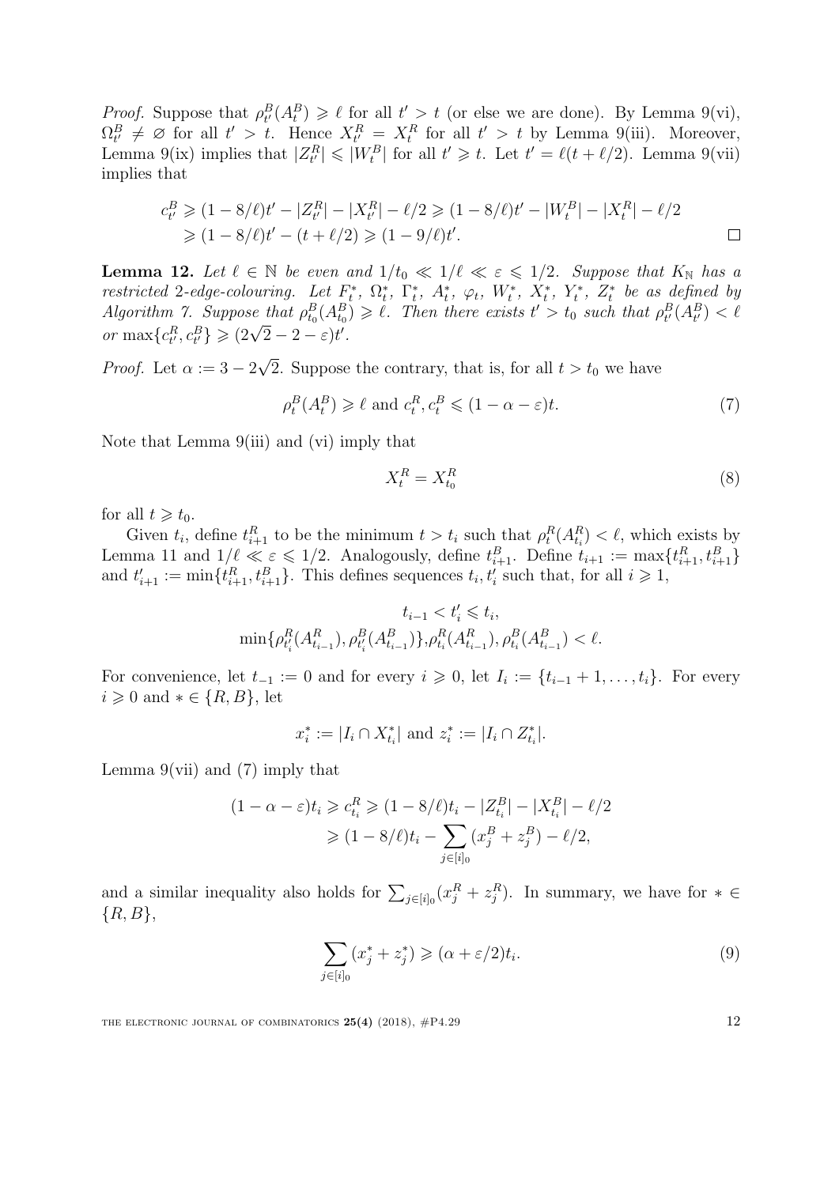*Proof.* Suppose that  $\rho_t^B(A_t^B) \geq \ell$  for all  $t' > t$  (or else we are done). By Lemma [9](#page-9-8)[\(vi\),](#page-9-3)  $\Omega_{t'}^B \neq \emptyset$  for all  $t' > t$ . Hence  $X_{t'}^R = X_t^R$  for all  $t' > t$  by Lemma [9](#page-9-8)[\(iii\).](#page-9-10) Moreover, Lemma [9](#page-9-8)[\(ix\)](#page-9-6) implies that  $|Z_t^R| \leq |W_t^B|$  for all  $t' \geq t$ . Let  $t' = \ell(t + \ell/2)$ . Lemma 9[\(vii\)](#page-9-4) implies that

$$
c_{t'}^{B} \geq (1 - 8/\ell)t' - |Z_{t'}^{R}| - |X_{t'}^{R}| - \ell/2 \geq (1 - 8/\ell)t' - |W_{t}^{B}| - |X_{t}^{R}| - \ell/2
$$
  
\n
$$
\geq (1 - 8/\ell)t' - (t + \ell/2) \geq (1 - 9/\ell)t'.
$$

<span id="page-12-3"></span>**Lemma 12.** Let  $\ell \in \mathbb{N}$  be even and  $1/t_0 \ll 1/\ell \ll \varepsilon \leq 1/2$ . Suppose that  $K_{\mathbb{N}}$  has a restricted 2-edge-colouring. Let  $F_t^*$ ,  $\Omega_t^*$ ,  $\Gamma_t^*$ ,  $A_t^*$ ,  $\varphi_t$ ,  $W_t^*$ ,  $X_t^*$ ,  $Y_t^*$ ,  $Z_t^*$  be as defined by Algorithm [7.](#page-7-0) Suppose that  $\rho_{t_0}^B(A_{t_0}^B) \geq \ell$ . Then there exists  $t' > t_0$  such that  $\rho_{t'}^B(A_{t'}^B) < \ell$ Algorithm 1. Suppose that  $p_{t_0}(A_{t_0})$ <br>or  $\max\{c_{t'}^R, c_{t'}^B\} \geqslant (2\sqrt{2}-2-\varepsilon)t'.$ 

*Proof.* Let  $\alpha := 3 - 2$ √ 2. Suppose the contrary, that is, for all  $t > t_0$  we have

$$
\rho_t^B(A_t^B) \ge \ell \text{ and } c_t^R, c_t^B \le (1 - \alpha - \varepsilon)t. \tag{7}
$$

Note that Lemma [9](#page-9-8)[\(iii\)](#page-9-10) and [\(vi\)](#page-9-3) imply that

<span id="page-12-1"></span><span id="page-12-0"></span>
$$
X_t^R = X_{t_0}^R \tag{8}
$$

for all  $t \geq t_0$ .

Given  $t_i$ , define  $t_{i+1}^R$  to be the minimum  $t > t_i$  such that  $\rho_t^R(A_{t_i}^R) < \ell$ , which exists by Lemma [11](#page-11-2) and  $1/\ell \ll \varepsilon \leq 1/2$ . Analogously, define  $t_{i+1}^B$ . Define  $t_{i+1}^B := \max\{t_{i+1}^R, t_{i+1}^B\}$ and  $t'_{i+1} := \min\{t_{i+1}^R, t_{i+1}^B\}$ . This defines sequences  $t_i, t'_i$  such that, for all  $i \geqslant 1$ ,

$$
t_{i-1} < t'_i \leqslant t_i,\\ \min\{\rho_{t'_i}^R(A_{t_{i-1}}^R),\rho_{t'_i}^B(A_{t_{i-1}}^B)\},\rho_{t_i}^R(A_{t_{i-1}}^R),\rho_{t_i}^B(A_{t_{i-1}}^B) < \ell.
$$

For convenience, let  $t_{-1} := 0$  and for every  $i \geq 0$ , let  $I_i := \{t_{i-1} + 1, \ldots, t_i\}$ . For every  $i \geqslant 0$  and  $* \in \{R, B\}$ , let

$$
x_i^* := |I_i \cap X_{t_i}^*| \text{ and } z_i^* := |I_i \cap Z_{t_i}^*|.
$$

Lemma  $9(vii)$  $9(vii)$  and  $(7)$  imply that

$$
(1 - \alpha - \varepsilon)t_i \geq c_{t_i}^R \geq (1 - 8/\ell)t_i - |Z_{t_i}^B| - |X_{t_i}^B| - \ell/2
$$
  
 
$$
\geq (1 - 8/\ell)t_i - \sum_{j \in [i]_0} (x_j^B + z_j^B) - \ell/2,
$$

and a similar inequality also holds for  $\sum_{j\in[i]_0}(x_j^R + z_j^R)$ . In summary, we have for  $* \in$  $\{R, B\},\$ 

$$
\sum_{j \in [i]_0} (x_j^* + z_j^*) \geqslant (\alpha + \varepsilon/2)t_i.
$$
\n
$$
(9)
$$

<span id="page-12-2"></span>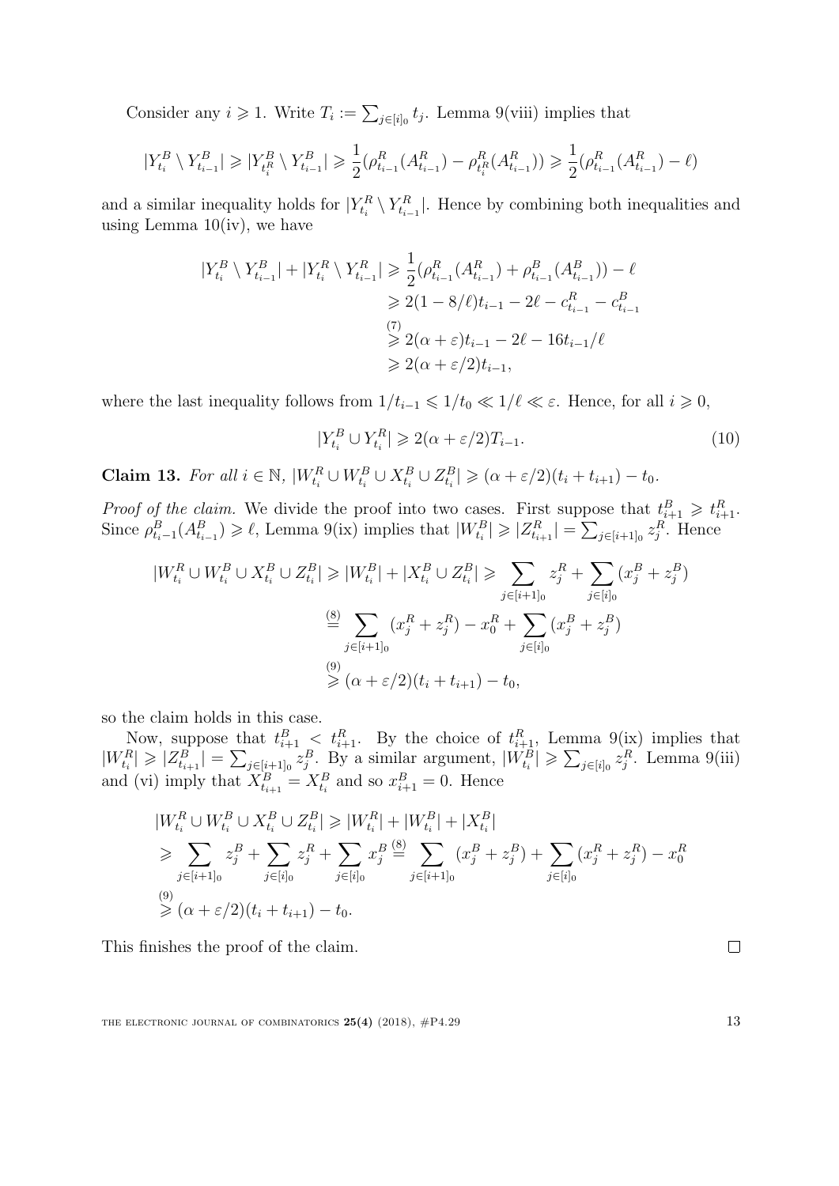Consider any  $i \geqslant 1$ . Write  $T_i := \sum_{j \in [i]_0} t_j$ . Lemma [9](#page-9-8)[\(viii\)](#page-9-5) implies that

$$
|Y_{t_i}^B \setminus Y_{t_{i-1}}^B| \geq |Y_{t_i}^B \setminus Y_{t_{i-1}}^B| \geq \frac{1}{2} (\rho_{t_{i-1}}^R (A_{t_{i-1}}^R) - \rho_{t_i}^R (A_{t_{i-1}}^R)) \geq \frac{1}{2} (\rho_{t_{i-1}}^R (A_{t_{i-1}}^R) - \ell)
$$

and a similar inequality holds for  $|Y_{t_i}^R \setminus Y_{t_{i-1}}^R|$ . Hence by combining both inequalities and using Lemma  $10(iv)$  $10(iv)$ , we have

$$
|Y_{t_i}^B \setminus Y_{t_{i-1}}^B| + |Y_{t_i}^R \setminus Y_{t_{i-1}}^R| \ge \frac{1}{2} (\rho_{t_{i-1}}^R (A_{t_{i-1}}^R) + \rho_{t_{i-1}}^B (A_{t_{i-1}}^B)) - \ell
$$
  
\n
$$
\ge 2(1 - 8/\ell)t_{i-1} - 2\ell - c_{t_{i-1}}^R - c_{t_{i-1}}^B
$$
  
\n
$$
\ge 2(\alpha + \varepsilon)t_{i-1} - 2\ell - 16t_{i-1}/\ell
$$
  
\n
$$
\ge 2(\alpha + \varepsilon/2)t_{i-1},
$$

where the last inequality follows from  $1/t_{i-1} \leq 1/t_0 \ll 1/\ell \ll \varepsilon$ . Hence, for all  $i \geq 0$ ,

<span id="page-13-0"></span>
$$
|Y_{t_i}^B \cup Y_{t_i}^R| \geqslant 2(\alpha + \varepsilon/2)T_{i-1}.
$$
\n
$$
(10)
$$

**Claim 13.** For all  $i \in \mathbb{N}$ ,  $|W_{t_i}^R \cup W_{t_i}^B \cup X_{t_i}^B \cup Z_{t_i}^B| \geqslant (\alpha + \varepsilon/2)(t_i + t_{i+1}) - t_0$ .

*Proof of the claim.* We divide the proof into two cases. First suppose that  $t_{i+1}^B \geq t_{i+1}^R$ . Since  $\rho_{t_{i-1}}^B(A_{t_{i-1}}^B) \geqslant \ell$ , Lemma [9](#page-9-8)[\(ix\)](#page-9-6) implies that  $|W_{t_i}^B| \geqslant |Z_{t_{i+1}}^R| = \sum_{j \in [i+1]_0} z_j^R$ . Hence

$$
|W_{t_i}^R \cup W_{t_i}^B \cup X_{t_i}^B \cup Z_{t_i}^B| \ge |W_{t_i}^B| + |X_{t_i}^B \cup Z_{t_i}^B| \ge \sum_{j \in [i+1]_0} z_j^R + \sum_{j \in [i]_0} (x_j^B + z_j^B)
$$
  

$$
\stackrel{\text{(8)}}{=} \sum_{j \in [i+1]_0} (x_j^R + z_j^R) - x_0^R + \sum_{j \in [i]_0} (x_j^B + z_j^B)
$$
  

$$
\ge (\alpha + \varepsilon/2)(t_i + t_{i+1}) - t_0,
$$

so the claim holds in this case.

Now, suppose that  $t_{i+1}^B < t_{i+1}^R$ . By the choice of  $t_{i+1}^R$ , Lemma [9](#page-9-8)[\(ix\)](#page-9-6) implies that  $|W_{t_i}^R| \geqslant |Z_{t_{i+1}}^B| = \sum_{j \in [i+1]_0} z_j^B$ . By a similar argument,  $|W_{t_i}^B| \geqslant \sum_{j \in [i]_0} z_j^R$ . Lemma [9](#page-9-8)[\(iii\)](#page-9-10) and [\(vi\)](#page-9-3) imply that  $X_{t_{i+1}}^B = X_{t_i}^B$  and so  $x_{i+1}^B = 0$ . Hence

$$
|W_{t_i}^R \cup W_{t_i}^B \cup X_{t_i}^B \cup Z_{t_i}^B| \ge |W_{t_i}^R| + |W_{t_i}^B| + |X_{t_i}^B|
$$
  
\n
$$
\ge \sum_{j \in [i+1]_0} z_j^B + \sum_{j \in [i]_0} z_j^R + \sum_{j \in [i]_0} x_j^B \stackrel{\text{(8)}}{=} \sum_{j \in [i+1]_0} (x_j^B + z_j^B) + \sum_{j \in [i]_0} (x_j^R + z_j^R) - x_0^R
$$
  
\n
$$
\ge (\alpha + \varepsilon/2)(t_i + t_{i+1}) - t_0.
$$

This finishes the proof of the claim.

THE ELECTRONIC JOURNAL OF COMBINATORICS  $25(4)$  (2018),  $\#P4.29$  13

 $\Box$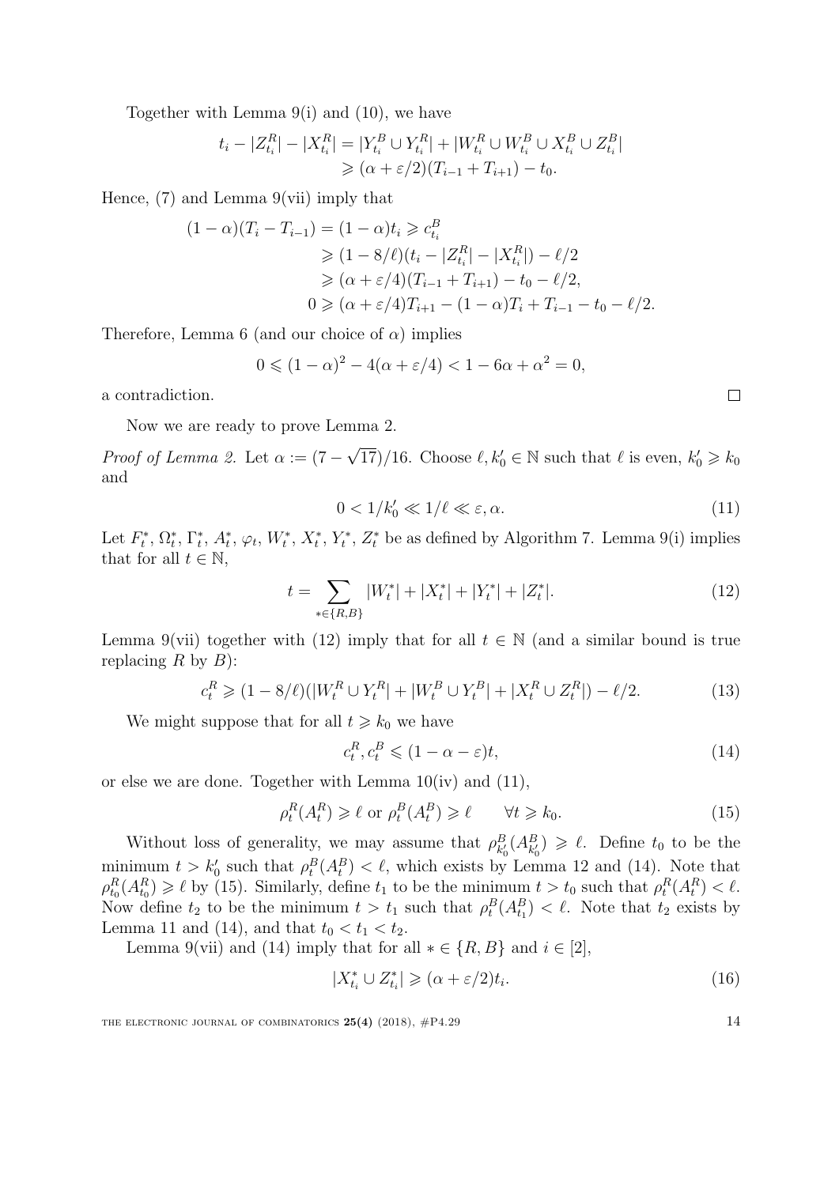Together with Lemma [9](#page-9-8)[\(i\)](#page-9-2) and [\(10\)](#page-13-0), we have

$$
t_i - |Z_{t_i}^R| - |X_{t_i}^R| = |Y_{t_i}^B \cup Y_{t_i}^R| + |W_{t_i}^R \cup W_{t_i}^B \cup X_{t_i}^B \cup Z_{t_i}^B|
$$
  
\n
$$
\geq (\alpha + \varepsilon/2)(T_{i-1} + T_{i+1}) - t_0.
$$

Hence,  $(7)$  and Lemma  $9(vii)$  $9(vii)$  imply that

$$
(1 - \alpha)(T_i - T_{i-1}) = (1 - \alpha)t_i \geqslant c_{t_i}^B
$$
  
\n
$$
\geqslant (1 - 8/\ell)(t_i - |Z_{t_i}^R| - |X_{t_i}^R|) - \ell/2
$$
  
\n
$$
\geqslant (\alpha + \varepsilon/4)(T_{i-1} + T_{i+1}) - t_0 - \ell/2,
$$
  
\n
$$
0 \geqslant (\alpha + \varepsilon/4)T_{i+1} - (1 - \alpha)T_i + T_{i-1} - t_0 - \ell/2.
$$

Therefore, Lemma [6](#page-5-3) (and our choice of  $\alpha$ ) implies

$$
0 \le (1 - \alpha)^2 - 4(\alpha + \varepsilon/4) < 1 - 6\alpha + \alpha^2 = 0,
$$

a contradiction.

Now we are ready to prove Lemma [2.](#page-3-1)

*Proof of Lemma [2.](#page-3-1)* Let  $\alpha := (7 -$ √  $\overline{(17)}/16$ . Choose  $\ell, k'_0 \in \mathbb{N}$  such that  $\ell$  is even,  $k'_0 \ge k_0$ and

$$
0 < 1/k_0' \ll 1/\ell \ll \varepsilon, \alpha. \tag{11}
$$

Let  $F_t^*, \Omega_t^*, \Gamma_t^*, A_t^*, \varphi_t, W_t^*, X_t^*, Y_t^*, Z_t^*$  be as defined by Algorithm [7.](#page-7-0) Lemma [9](#page-9-8)[\(i\)](#page-9-2) implies that for all  $t \in \mathbb{N}$ ,

$$
t = \sum_{*\in\{R,B\}} |W_t^*| + |X_t^*| + |Y_t^*| + |Z_t^*|.
$$
 (12)

Lemma [9](#page-9-8)[\(vii\)](#page-9-4) together with [\(12\)](#page-14-0) imply that for all  $t \in \mathbb{N}$  (and a similar bound is true replacing R by  $B$ ):

$$
c_t^R \ge (1 - 8/\ell)(|W_t^R \cup Y_t^R| + |W_t^B \cup Y_t^B| + |X_t^R \cup Z_t^R|) - \ell/2.
$$
 (13)

We might suppose that for all  $t \geq k_0$  we have

$$
c_t^R, c_t^B \leq (1 - \alpha - \varepsilon)t,\tag{14}
$$

or else we are done. Together with Lemma [10](#page-10-4)[\(iv\)](#page-10-3) and [\(11\)](#page-14-1),

$$
\rho_t^R(A_t^R) \ge \ell \text{ or } \rho_t^B(A_t^B) \ge \ell \qquad \forall t \ge k_0. \tag{15}
$$

Without loss of generality, we may assume that  $\rho_{k'_0}(A_{k'_0}^B) \geq \ell$ . Define  $t_0$  to be the minimum  $t > k_0'$  such that  $\rho_t^B(A_t^B) < \ell$ , which exists by Lemma [12](#page-12-3) and [\(14\)](#page-14-2). Note that  $\rho_{t_0}^R(A_{t_0}^R) \geq \ell$  by [\(15\)](#page-14-3). Similarly, define  $t_1$  to be the minimum  $t > t_0$  such that  $\rho_t^R(A_t^R) < \ell$ . Now define  $t_2$  to be the minimum  $t > t_1$  such that  $\rho_t^B(A_{t_1}^B) < \ell$ . Note that  $t_2$  exists by Lemma [11](#page-11-2) and [\(14\)](#page-14-2), and that  $t_0 < t_1 < t_2$ .

Lemma [9](#page-9-8)[\(vii\)](#page-9-4) and [\(14\)](#page-14-2) imply that for all  $* \in \{R, B\}$  and  $i \in [2]$ ,

$$
|X_{t_i}^* \cup Z_{t_i}^*| \geqslant (\alpha + \varepsilon/2)t_i.
$$
\n
$$
(16)
$$

THE ELECTRONIC JOURNAL OF COMBINATORICS  $25(4)$  (2018),  $\#P4.29$  14

<span id="page-14-5"></span><span id="page-14-3"></span><span id="page-14-2"></span>

<span id="page-14-4"></span><span id="page-14-1"></span><span id="page-14-0"></span> $\Box$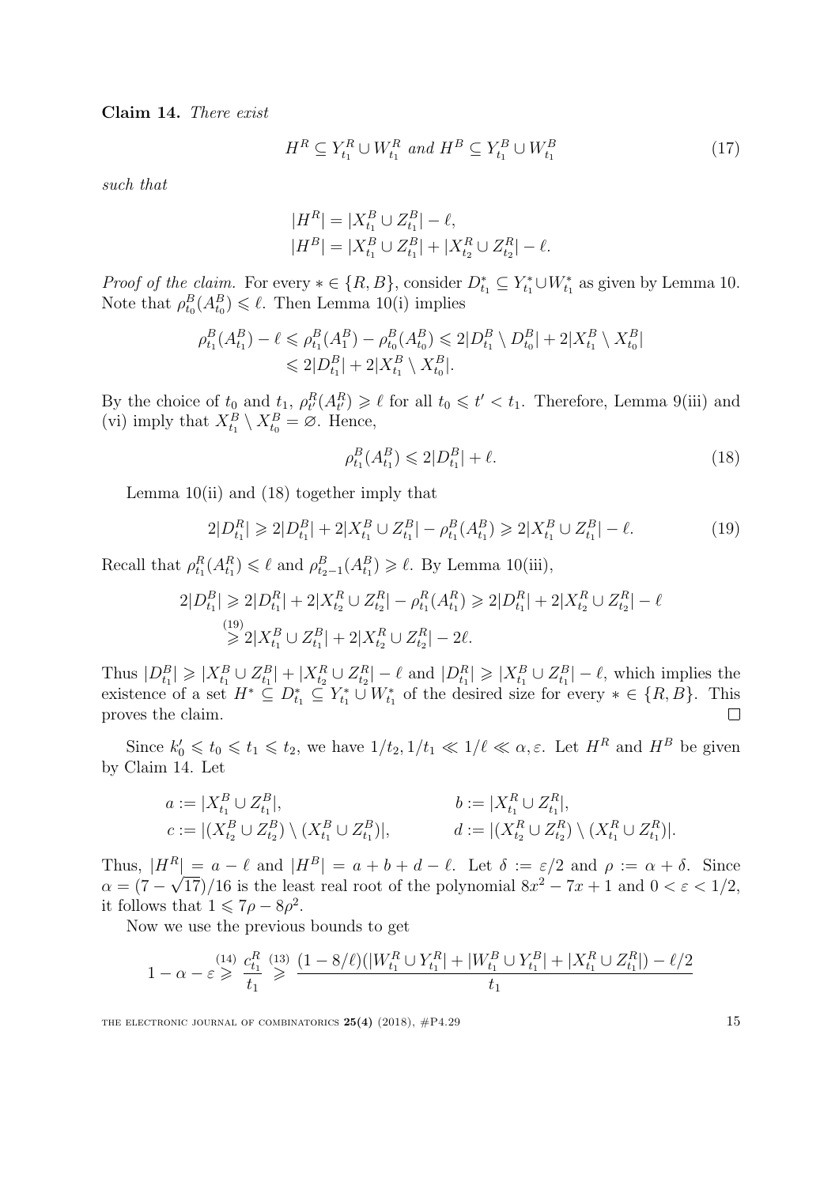<span id="page-15-2"></span>Claim 14. There exist

<span id="page-15-3"></span>
$$
H^R \subseteq Y_{t_1}^R \cup W_{t_1}^R \text{ and } H^B \subseteq Y_{t_1}^B \cup W_{t_1}^B \tag{17}
$$

such that

$$
|H^R| = |X_{t_1}^B \cup Z_{t_1}^B| - \ell,
$$
  

$$
|H^B| = |X_{t_1}^B \cup Z_{t_1}^B| + |X_{t_2}^R \cup Z_{t_2}^R| - \ell.
$$

*Proof of the claim.* For every  $* \in \{R, B\}$ , consider  $D_{t_1}^* \subseteq Y_{t_1}^* \cup W_{t_1}^*$  as given by Lemma [10.](#page-10-4) Note that  $\rho_{t_0}^B(A_{t_0}^B) \leq \ell$ . Then Lemma [10](#page-10-4)[\(i\)](#page-10-0) implies

$$
\rho_{t_1}^B(A_{t_1}^B) - \ell \leq \rho_{t_1}^B(A_1^B) - \rho_{t_0}^B(A_{t_0}^B) \leq 2|D_{t_1}^B \setminus D_{t_0}^B| + 2|X_{t_1}^B \setminus X_{t_0}^B|
$$
  

$$
\leq 2|D_{t_1}^B| + 2|X_{t_1}^B \setminus X_{t_0}^B|.
$$

By the choice of  $t_0$  and  $t_1$ ,  $\rho^R_{t'}(A^R_{t'}) \geq \ell$  for all  $t_0 \leq t' < t_1$ . Therefore, Lemma [9](#page-9-8)[\(iii\)](#page-9-10) and [\(vi\)](#page-9-3) imply that  $X_{t_1}^B \setminus X_{t_0}^B = \emptyset$ . Hence,

<span id="page-15-1"></span><span id="page-15-0"></span>
$$
\rho_{t_1}^B(A_{t_1}^B) \leq 2|D_{t_1}^B| + \ell. \tag{18}
$$

Lemma  $10(i)$  $10(i)$  and  $(18)$  together imply that

$$
2|D_{t_1}^R| \ge 2|D_{t_1}^B| + 2|X_{t_1}^B \cup Z_{t_1}^B| - \rho_{t_1}^B(A_{t_1}^B) \ge 2|X_{t_1}^B \cup Z_{t_1}^B| - \ell. \tag{19}
$$

Recall that  $\rho_{t_1}^R(A_{t_1}^R) \leq \ell$  and  $\rho_{t_2-1}^B(A_{t_1}^R) \geq \ell$ . By Lemma [10](#page-10-4)[\(iii\),](#page-10-2)

$$
2|D_{t_1}^B| \geq 2|D_{t_1}^R| + 2|X_{t_2}^R \cup Z_{t_2}^R| - \rho_{t_1}^R(A_{t_1}^R) \geq 2|D_{t_1}^R| + 2|X_{t_2}^R \cup Z_{t_2}^R| - \ell
$$
  
\n
$$
\geq 2|X_{t_1}^B \cup Z_{t_1}^B| + 2|X_{t_2}^R \cup Z_{t_2}^R| - 2\ell.
$$

Thus  $|D_{t_1}^B| \geq |X_{t_1}^B \cup Z_{t_1}^B| + |X_{t_2}^R \cup Z_{t_2}^R| - \ell$  and  $|D_{t_1}^R| \geq |X_{t_1}^B \cup Z_{t_1}^B| - \ell$ , which implies the existence of a set  $H^* \subseteq D_{t_1}^* \subseteq Y_{t_1}^* \cup W_{t_1}^*$  of the desired size for every  $* \in \{R, B\}$ . This proves the claim.

Since  $k'_0 \leq t_0 \leq t_1 \leq t_2$ , we have  $1/t_2$ ,  $1/t_1 \ll 1/\ell \ll \alpha, \varepsilon$ . Let  $H^R$  and  $H^B$  be given by Claim [14.](#page-15-2) Let

$$
a := |X_{t_1}^B \cup Z_{t_1}^B|, \t b := |X_{t_1}^R \cup Z_{t_1}^R|, c := |(X_{t_2}^B \cup Z_{t_2}^B) \setminus (X_{t_1}^B \cup Z_{t_1}^B)|, \t d := |(X_{t_2}^R \cup Z_{t_2}^R) \setminus (X_{t_1}^R \cup Z_{t_1}^R)|.
$$

Thus,  $|H^R| = a - \ell$  and  $|H^B| = a + b + d - \ell$ . Let  $\delta := \varepsilon/2$  and  $\rho := \alpha + \delta$ . Since  $\alpha = (7 - \sqrt{17})/16$  is the least real root of the polynomial  $8x^2 - 7x + 1$  and  $0 < \varepsilon < 1/2$ , it follows that  $1 \leqslant 7\rho - 8\rho^2$ .

Now we use the previous bounds to get

$$
1 - \alpha - \varepsilon \geq \frac{t^{(14)}}{t_1} \geq \frac{c_{t_1}^R}{t_1} \geq \frac{(1 - 8/\ell)(|W_{t_1}^R \cup Y_{t_1}^R| + |W_{t_1}^B \cup Y_{t_1}^B| + |X_{t_1}^R \cup Z_{t_1}^R|) - \ell/2}{t_1}
$$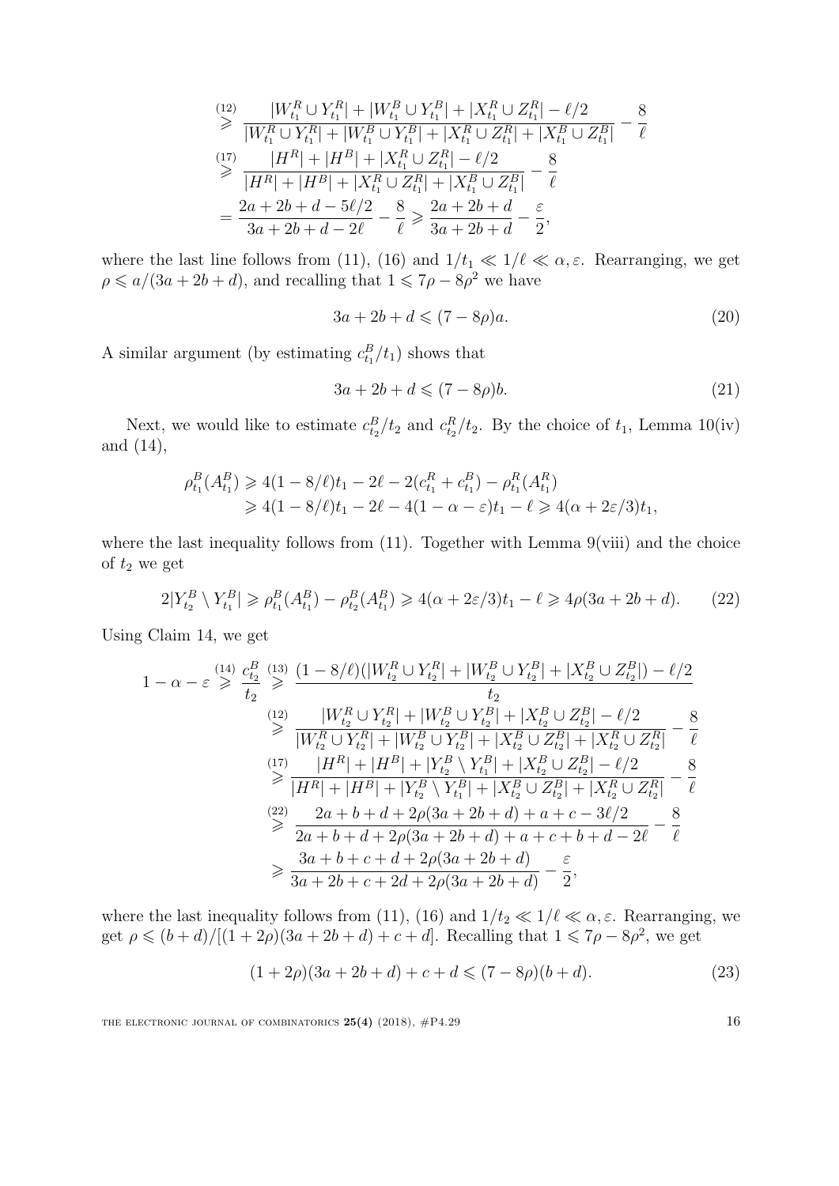$$
\begin{split}\n\stackrel{(12)}{\geq} \frac{|W_{t_1}^R \cup Y_{t_1}^R| + |W_{t_1}^B \cup Y_{t_1}^B| + |X_{t_1}^R \cup Z_{t_1}^R| - \ell/2}{|W_{t_1}^R \cup Y_{t_1}^R| + |W_{t_1}^B \cup Y_{t_1}^B| + |X_{t_1}^R \cup Z_{t_1}^R| + |X_{t_1}^B \cup Z_{t_1}^B|} - \frac{8}{\ell}\n\end{split}
$$
\n
$$
\stackrel{(17)}{\geq} \frac{|H^R| + |H^B| + |X_{t_1}^R \cup Z_{t_1}^R| - \ell/2}{|H^R| + |H^B| + |X_{t_1}^R \cup Z_{t_1}^R| + |X_{t_1}^B \cup Z_{t_1}^B|} - \frac{8}{\ell}
$$
\n
$$
= \frac{2a + 2b + d - 5\ell/2}{3a + 2b + d - 2\ell} - \frac{8}{\ell} \geq \frac{2a + 2b + d}{3a + 2b + d} - \frac{\varepsilon}{2},
$$

where the last line follows from [\(11\)](#page-14-1), [\(16\)](#page-14-5) and  $1/t_1 \ll 1/\ell \ll \alpha, \varepsilon$ . Rearranging, we get  $\rho \leq a/(3a+2b+d)$ , and recalling that  $1 \leq 7\rho - 8\rho^2$  we have

<span id="page-16-1"></span>
$$
3a + 2b + d \leqslant (7 - 8\rho)a. \tag{20}
$$

A similar argument (by estimating  $c_{t_1}^B/t_1$ ) shows that

<span id="page-16-2"></span><span id="page-16-0"></span>
$$
3a + 2b + d \leqslant (7 - 8\rho)b. \tag{21}
$$

Next, we would like to estimate  $c_{t_2}^B/t_2$  and  $c_{t_2}^R/t_2$ . By the choice of  $t_1$ , Lemma [10](#page-10-4)[\(iv\)](#page-10-3) and [\(14\)](#page-14-2),

$$
\rho_{t_1}^B(A_{t_1}^B) \geq 4(1 - 8/\ell)t_1 - 2\ell - 2(c_{t_1}^R + c_{t_1}^B) - \rho_{t_1}^R(A_{t_1}^R)
$$
  
\n
$$
\geq 4(1 - 8/\ell)t_1 - 2\ell - 4(1 - \alpha - \varepsilon)t_1 - \ell \geq 4(\alpha + 2\varepsilon/3)t_1,
$$

where the last inequality follows from  $(11)$ . Together with Lemma  $9(viii)$  $9(viii)$  and the choice of  $t_2$  we get

$$
2|Y_{t_2}^B \setminus Y_{t_1}^B| \geq \rho_{t_1}^B(A_{t_1}^B) - \rho_{t_2}^B(A_{t_1}^B) \geq 4(\alpha + 2\varepsilon/3)t_1 - \ell \geq 4\rho(3a + 2b + d). \tag{22}
$$

Using Claim [14,](#page-15-2) we get

$$
1 - \alpha - \varepsilon \stackrel{(14)}{\geq} \frac{c_{t_2}^B}{t_2} \stackrel{(13)}{\geq} \frac{(1 - 8/\ell)(|W_{t_2}^R \cup Y_{t_2}^R| + |W_{t_2}^B \cup Y_{t_2}^B| + |X_{t_2}^B \cup Z_{t_2}^B|) - \ell/2}{t_2}
$$
\n
$$
\stackrel{(12)}{\geq} \frac{|W_{t_2}^R \cup Y_{t_2}^R| + |W_{t_2}^B \cup Y_{t_2}^B| + |X_{t_2}^B \cup Z_{t_2}^B| - \ell/2}{|W_{t_2}^R \cup Y_{t_2}^R| + |W_{t_2}^B \cup Y_{t_2}^B| + |X_{t_2}^B \cup Z_{t_2}^B| + |X_{t_2}^R \cup Z_{t_2}^R|} - \frac{8}{\ell}
$$
\n
$$
\stackrel{(17)}{\geq} \frac{|H^R| + |H^B| + |Y_{t_2}^B \setminus Y_{t_1}^B| + |X_{t_2}^B \cup Z_{t_2}^B| - \ell/2}{|H^R| + |H^B| + |Y_{t_2}^B \setminus Y_{t_1}^B| + |X_{t_2}^B \cup Z_{t_2}^B| + |X_{t_2}^R \cup Z_{t_2}^R|} - \frac{8}{\ell}
$$
\n
$$
\stackrel{(22)}{\geq} \frac{2a + b + d + 2\rho(3a + 2b + d) + a + c - 3\ell/2}{2a + b + d + 2\rho(3a + 2b + d) + a + c + b + d - 2\ell} - \frac{8}{\ell}
$$
\n
$$
\geq \frac{3a + b + c + d + 2\rho(3a + 2b + d)}{3a + 2b + c + 2d + 2\rho(3a + 2b + d)} - \frac{\varepsilon}{2},
$$

where the last inequality follows from [\(11\)](#page-14-1), [\(16\)](#page-14-5) and  $1/t_2 \ll 1/\ell \ll \alpha, \varepsilon$ . Rearranging, we get  $\rho \leqslant (b+d)/[(1+2\rho)(3a+2b+d)+c+d]$ . Recalling that  $1 \leqslant 7\rho - 8\rho^2$ , we get

<span id="page-16-3"></span>
$$
(1+2\rho)(3a+2b+d)+c+d \leq (7-8\rho)(b+d). \tag{23}
$$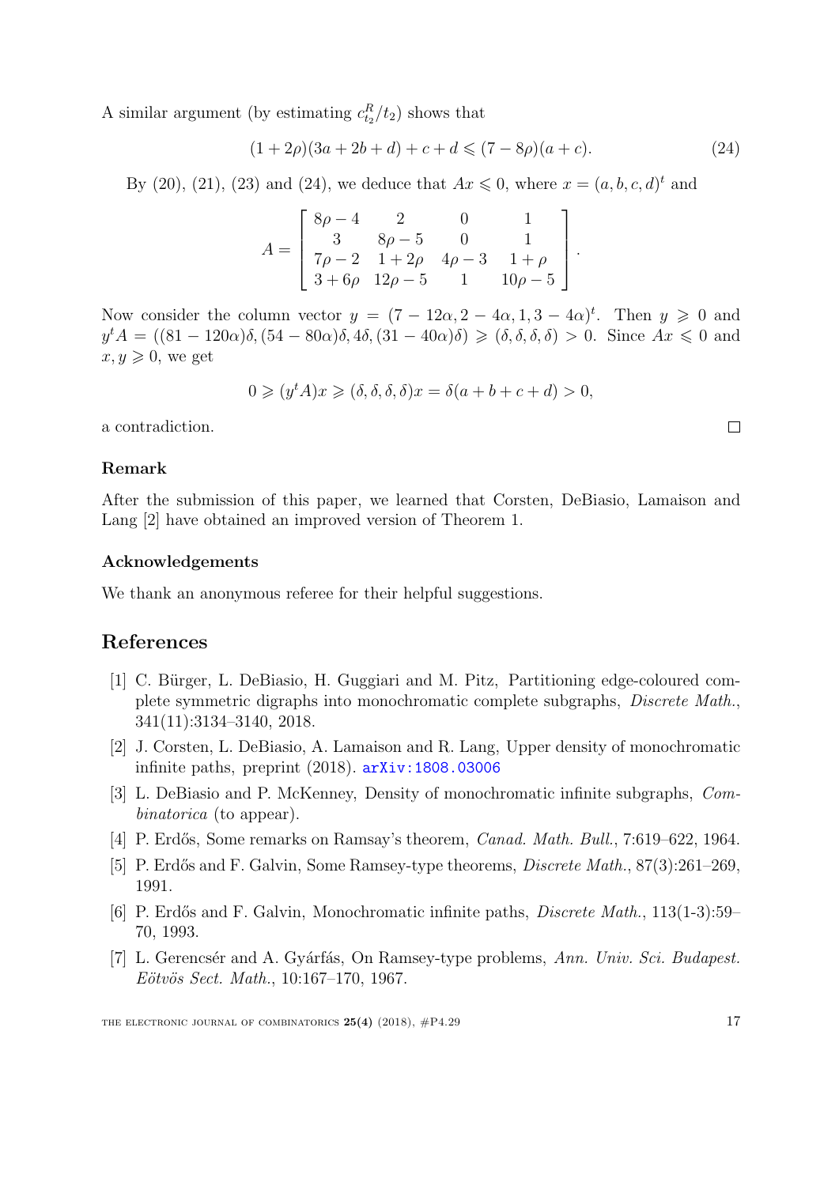A similar argument (by estimating  $c_{t_2}^R/t_2$ ) shows that

$$
(1+2\rho)(3a+2b+d)+c+d \leq (7-8\rho)(a+c). \tag{24}
$$

<span id="page-17-6"></span>.

By [\(20\)](#page-16-1), [\(21\)](#page-16-2), [\(23\)](#page-16-3) and [\(24\)](#page-17-6), we deduce that  $Ax \le 0$ , where  $x = (a, b, c, d)^t$  and

$$
A = \begin{bmatrix} 8\rho - 4 & 2 & 0 & 1 \\ 3 & 8\rho - 5 & 0 & 1 \\ 7\rho - 2 & 1 + 2\rho & 4\rho - 3 & 1 + \rho \\ 3 + 6\rho & 12\rho - 5 & 1 & 10\rho - 5 \end{bmatrix}
$$

Now consider the column vector  $y = (7 - 12\alpha, 2 - 4\alpha, 1, 3 - 4\alpha)^t$ . Then  $y \ge 0$  and  $y^t A = ((81 - 120\alpha)\delta, (54 - 80\alpha)\delta, 4\delta, (31 - 40\alpha)\delta) \ge (\delta, \delta, \delta, \delta) > 0$ . Since  $Ax \le 0$  and  $x, y \geqslant 0$ , we get

$$
0 \geqslant (y^t A)x \geqslant (\delta, \delta, \delta, \delta)x = \delta(a + b + c + d) > 0,
$$

a contradiction.

#### Remark

After the submission of this paper, we learned that Corsten, DeBiasio, Lamaison and Lang [\[2\]](#page-17-7) have obtained an improved version of Theorem [1.](#page-2-0)

#### Acknowledgements

We thank an anonymous referee for their helpful suggestions.

#### References

- <span id="page-17-4"></span>[1] C. Bürger, L. DeBiasio, H. Guggiari and M. Pitz, Partitioning edge-coloured complete symmetric digraphs into monochromatic complete subgraphs, Discrete Math., 341(11):3134–3140, 2018.
- <span id="page-17-7"></span>[2] J. Corsten, L. DeBiasio, A. Lamaison and R. Lang, Upper density of monochromatic infinite paths, preprint  $(2018)$ .  $arXiv:1808.03006$
- <span id="page-17-3"></span>[3] L. DeBiasio and P. McKenney, Density of monochromatic infinite subgraphs, Combinatorica (to appear).
- <span id="page-17-5"></span>[4] P. Erdős, Some remarks on Ramsay's theorem, *Canad. Math. Bull.*, 7:619–622, 1964.
- <span id="page-17-2"></span>[5] P. Erdős and F. Galvin, Some Ramsey-type theorems, *Discrete Math.*, 87(3):261–269, 1991.
- <span id="page-17-1"></span>[6] P. Erdős and F. Galvin, Monochromatic infinite paths, *Discrete Math.*, 113(1-3):59– 70, 1993.
- <span id="page-17-0"></span>[7] L. Gerencsér and A. Gyárfás, On Ramsey-type problems, Ann. Univ. Sci. Budapest. Eötvös Sect. Math., 10:167–170, 1967.